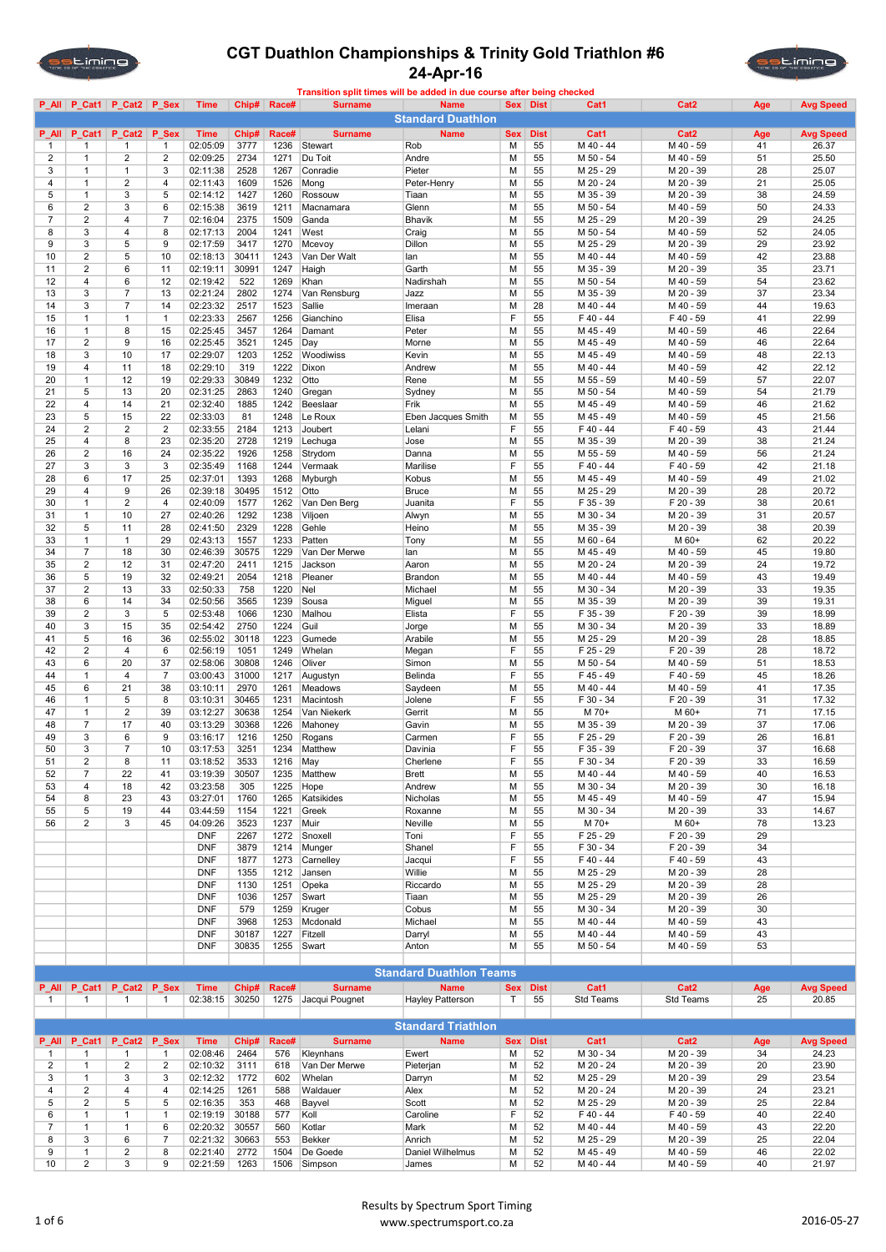



|                | P_All P_Cat1                   | P_Cat2 P_Sex                   |                         | <b>Time</b>              | Chip#         | Race#        | <b>Surname</b>      | <b>Name</b>                    |            | Sex Dist    | Cat1                   | Cat <sub>2</sub>       | Age      | <b>Avg Speed</b> |
|----------------|--------------------------------|--------------------------------|-------------------------|--------------------------|---------------|--------------|---------------------|--------------------------------|------------|-------------|------------------------|------------------------|----------|------------------|
|                |                                |                                |                         |                          |               |              |                     | <b>Standard Duathlon</b>       |            |             |                        |                        |          |                  |
| <b>P</b> All   | P_Cat1                         | P Cat2                         | P_Sex                   | <b>Time</b>              | Chip#         | Race#        | <b>Surname</b>      | <b>Name</b>                    | <b>Sex</b> | <b>Dist</b> | Cat1                   | Cat <sub>2</sub>       | Age      | <b>Avg Speed</b> |
| $\mathbf{1}$   | -1                             | 1                              | 1                       | 02:05:09                 | 3777          | 1236         | Stewart             | Rob                            | M          | 55          | M 40 - 44              | M 40 - 59              | 41       | 26.37            |
| 2<br>3         | $\mathbf{1}$<br>$\mathbf{1}$   | $\overline{2}$<br>$\mathbf{1}$ | $\overline{2}$<br>3     | 02:09:25<br>02:11:38     | 2734<br>2528  | 1271<br>1267 | Du Toit<br>Conradie | Andre<br>Pieter                | M<br>M     | 55<br>55    | M 50 - 54<br>M 25 - 29 | M 40 - 59<br>M 20 - 39 | 51<br>28 | 25.50<br>25.07   |
| 4              | $\mathbf{1}$                   | $\overline{2}$                 | $\overline{4}$          | 02:11:43                 | 1609          | 1526         | Mong                | Peter-Henry                    | M          | 55          | M 20 - 24              | M 20 - 39              | 21       | 25.05            |
| 5              | $\mathbf{1}$                   | 3                              | 5                       | 02:14:12                 | 1427          | 1260         | Rossouw             | Tiaan                          | M          | 55          | M 35 - 39              | M 20 - 39              | 38       | 24.59            |
| 6              | $\overline{2}$                 | 3                              | 6                       | 02:15:38                 | 3619          | 1211         | Macnamara           | Glenn                          | M          | 55          | M 50 - 54              | M 40 - 59              | 50       | 24.33            |
| $\overline{7}$ | $\overline{2}$                 | $\overline{4}$                 | $\overline{7}$          | 02:16:04                 | 2375          | 1509         | Ganda               | Bhavik                         | M          | 55          | M 25 - 29              | M 20 - 39              | 29       | 24.25            |
| 8              | 3                              | 4                              | 8                       | 02:17:13                 | 2004          | 1241         | West                | Craig                          | M          | 55          | M 50 - 54              | M 40 - 59              | 52       | 24.05            |
| 9              | 3                              | 5                              | 9                       | 02:17:59                 | 3417          | 1270         | Mcevoy              | Dillon                         | M          | 55          | M 25 - 29              | M 20 - 39              | 29       | 23.92            |
| 10             | $\overline{2}$                 | 5                              | 10                      | 02:18:13                 | 30411         | 1243         | Van Der Walt        | lan                            | M          | 55          | M 40 - 44              | M 40 - 59              | 42       | 23.88            |
| 11             | $\overline{2}$                 | 6                              | 11                      | 02:19:11                 | 30991         | 1247         | Haigh               | Garth                          | M          | 55          | M 35 - 39              | M 20 - 39              | 35       | 23.71            |
| 12             | $\overline{4}$                 | 6                              | 12                      | 02:19:42                 | 522           | 1269         | Khan                | Nadirshah                      | M          | 55          | M 50 - 54              | M 40 - 59              | 54       | 23.62            |
| 13             | 3                              | $\overline{7}$                 | 13                      | 02:21:24                 | 2802          | 1274         | Van Rensburg        | Jazz                           | м          | 55          | M 35 - 39<br>M 40 - 44 | M 20 - 39              | 37       | 23.34            |
| 14<br>15       | 3<br>$\mathbf{1}$              | $\overline{7}$<br>$\mathbf{1}$ | 14<br>$\mathbf{1}$      | 02:23:32                 | 2517<br>2567  | 1523<br>1256 | Sallie<br>Gianchino | Imeraan<br>Elisa               | M<br>F     | 28<br>55    | F40-44                 | M 40 - 59<br>F 40 - 59 | 44<br>41 | 19.63<br>22.99   |
| 16             | $\mathbf{1}$                   | 8                              | 15                      | 02:23:33<br>02:25:45     | 3457          | 1264         | Damant              | Peter                          | M          | 55          | M 45 - 49              | M 40 - 59              | 46       | 22.64            |
| 17             | $\overline{2}$                 | 9                              | 16                      | 02:25:45                 | 3521          | 1245         | Day                 | Morne                          | M          | 55          | M 45 - 49              | M 40 - 59              | 46       | 22.64            |
| 18             | 3                              | 10                             | 17                      | 02:29:07                 | 1203          | 1252         | Woodiwiss           | Kevin                          | M          | 55          | M 45 - 49              | M 40 - 59              | 48       | 22.13            |
| 19             | $\overline{4}$                 | 11                             | 18                      | 02:29:10                 | 319           | 1222         | Dixon               | Andrew                         | M          | 55          | M 40 - 44              | M 40 - 59              | 42       | 22.12            |
| 20             | $\mathbf{1}$                   | 12                             | 19                      | 02:29:33                 | 30849         | 1232         | Otto                | Rene                           | M          | 55          | M 55 - 59              | M 40 - 59              | 57       | 22.07            |
| 21             | 5                              | 13                             | 20                      | 02:31:25                 | 2863          | 1240         | Gregan              | Sydney                         | M          | 55          | M 50 - 54              | M 40 - 59              | 54       | 21.79            |
| 22             | $\overline{4}$                 | 14                             | 21                      | 02:32:40                 | 1885          | 1242         | Beeslaar            | Frik                           | M          | 55          | M 45 - 49              | M 40 - 59              | 46       | 21.62            |
| 23             | 5                              | 15                             | 22                      | 02:33:03                 | 81            | 1248         | Le Roux             | Eben Jacques Smith             | M          | 55          | M 45 - 49              | M 40 - 59              | 45       | 21.56            |
| 24             | $\overline{2}$                 | $\overline{2}$                 | $\overline{2}$          | 02:33:55                 | 2184          | 1213         | Joubert             | Lelani                         | F          | 55          | F40-44                 | F 40 - 59              | 43       | 21.44            |
| 25             | 4                              | 8                              | 23                      | 02:35:20                 | 2728          | 1219         | Lechuga             | Jose                           | M          | 55          | M 35 - 39              | M 20 - 39              | 38       | 21.24            |
| 26             | $\overline{2}$                 | 16                             | 24                      | 02:35:22                 | 1926          | 1258         | Strydom             | Danna                          | M          | 55          | M 55 - 59              | M 40 - 59              | 56       | 21.24            |
| 27             | 3                              | 3                              | 3                       | 02:35:49                 | 1168          | 1244         | Vermaak             | Marilise                       | F          | 55          | $F$ 40 - 44            | F 40 - 59              | 42       | 21.18            |
| 28             | 6                              | 17                             | 25                      | 02:37:01                 | 1393          | 1268         | Myburgh             | Kobus                          | M          | 55          | M 45 - 49              | M 40 - 59              | 49       | 21.02            |
| 29             | 4                              | 9                              | 26                      | 02:39:18                 | 30495         | 1512         | Otto                | <b>Bruce</b>                   | M          | 55          | M 25 - 29              | M 20 - 39              | 28       | 20.72            |
| 30             | $\mathbf{1}$                   | $\overline{2}$                 | $\overline{4}$          | 02:40:09                 | 1577          | 1262         | Van Den Berg        | Juanita                        | F          | 55          | F 35 - 39              | F 20 - 39              | 38       | 20.61            |
| 31             | $\mathbf{1}$                   | 10                             | 27                      | 02:40:26                 | 1292          | 1238         | Viljoen             | Alwyn                          | M          | 55          | M 30 - 34              | M 20 - 39              | 31       | 20.57            |
| 32<br>33       | 5<br>$\mathbf{1}$              | 11<br>$\mathbf{1}$             | 28<br>29                | 02:41:50<br>02:43:13     | 2329<br>1557  | 1228<br>1233 | Gehle<br>Patten     | Heino                          | M<br>M     | 55<br>55    | M 35 - 39<br>M 60 - 64 | M 20 - 39<br>M 60+     | 38<br>62 | 20.39<br>20.22   |
| 34             | $\overline{7}$                 | 18                             | 30                      | 02:46:39                 | 30575         | 1229         | Van Der Merwe       | Tony<br>lan                    | M          | 55          | M 45 - 49              | M 40 - 59              | 45       | 19.80            |
| 35             | $\overline{2}$                 | 12                             | 31                      | 02:47:20                 | 2411          | 1215         | Jackson             | Aaron                          | M          | 55          | M 20 - 24              | M 20 - 39              | 24       | 19.72            |
| 36             | 5                              | 19                             | 32                      | 02:49:21                 | 2054          | 1218         | Pleaner             | Brandon                        | M          | 55          | M 40 - 44              | M 40 - 59              | 43       | 19.49            |
| 37             | $\overline{2}$                 | 13                             | 33                      | 02:50:33                 | 758           | 1220         | Nel                 | Michael                        | M          | 55          | M 30 - 34              | M 20 - 39              | 33       | 19.35            |
| 38             | 6                              | 14                             | 34                      | 02:50:56                 | 3565          | 1239         | Sousa               | Miguel                         | M          | 55          | M 35 - 39              | M 20 - 39              | 39       | 19.31            |
| 39             | $\overline{2}$                 | 3                              | 5                       | 02:53:48                 | 1066          | 1230         | Malhou              | Elista                         | F          | 55          | F 35 - 39              | F 20 - 39              | 39       | 18.99            |
| 40             | 3                              | 15                             | 35                      | 02:54:42                 | 2750          | 1224         | Guil                | Jorge                          | M          | 55          | M 30 - 34              | M 20 - 39              | 33       | 18.89            |
| 41             | 5                              | 16                             | 36                      | 02:55:02                 | 30118         | 1223         | Gumede              | Arabile                        | M          | 55          | M 25 - 29              | M 20 - 39              | 28       | 18.85            |
| 42             | $\overline{2}$                 | 4                              | 6                       | 02:56:19                 | 1051          | 1249         | Whelan              | Megan                          | F          | 55          | F 25 - 29              | F 20 - 39              | 28       | 18.72            |
| 43             | 6                              | 20                             | 37                      | 02:58:06                 | 30808         | 1246         | Oliver              | Simon                          | M          | 55          | M 50 - 54              | M 40 - 59              | 51       | 18.53            |
| 44             | $\mathbf{1}$                   | 4                              | $\overline{7}$          | 03:00:43                 | 31000         | 1217         | Augustyn            | Belinda                        | F          | 55          | F45-49                 | F 40 - 59              | 45       | 18.26            |
| 45             | 6                              | 21                             | 38                      | 03:10:11                 | 2970          | 1261         | Meadows             | Saydeen                        | M          | 55          | M 40 - 44              | M 40 - 59              | 41       | 17.35            |
| 46             | $\mathbf{1}$                   | 5                              | 8                       | 03:10:31                 | 30465         | 1231         | Macintosh           | Jolene                         | F          | 55          | F 30 - 34              | F 20 - 39              | 31       | 17.32            |
| 47             | $\mathbf{1}$<br>$\overline{7}$ | $\overline{2}$                 | 39                      | 03:12:27                 | 30638         | 1254         | Van Niekerk         | Gerrit                         | M          | 55          | M 70+                  | M 60+                  | 71       | 17.15            |
| 48<br>49       | 3                              | 17<br>6                        | 40<br>9                 | 03:13:29<br>03:16:17     | 30368<br>1216 | 1226<br>1250 | Mahoney             | Gavin<br>Carmen                | M<br>F     | 55<br>55    | M 35 - 39<br>F 25 - 29 | M 20 - 39<br>F 20 - 39 | 37<br>26 | 17.06<br>16.81   |
| 50             | 3                              | 7                              | 10                      | 03:17:53                 | 3251          | 1234         | Rogans<br>Matthew   | Davinia                        | F          | 55          | F 35 - 39              | F 20 - 39              | 37       | 16.68            |
| 51             | $\overline{2}$                 | 8                              | 11                      | 03:18:52                 | 3533          | 1216         | May                 | Cherlene                       | F          | 55          | F 30 - 34              | F 20 - 39              | 33       | 16.59            |
| 52             | $\overline{7}$                 | 22                             | 41                      | 03:19:39                 | 30507         | 1235         | Matthew             | <b>Brett</b>                   | M          | 55          | M 40 - 44              | M 40 - 59              | 40       | 16.53            |
| 53             | $\overline{4}$                 | 18                             | 42                      | 03:23:58                 | 305           | 1225         | Hope                | Andrew                         | M          | 55          | M 30 - 34              | M 20 - 39              | 30       | 16.18            |
| 54             | 8                              | 23                             | 43                      | 03:27:01                 | 1760          | 1265         | Katsikides          | Nicholas                       | М          | 55          | M 45 - 49              | M 40 - 59              | 47       | 15.94            |
| 55             | 5                              | 19                             | 44                      | 03:44:59                 | 1154          | 1221         | Greek               | Roxanne                        | M          | 55          | M 30 - 34              | M 20 - 39              | 33       | 14.67            |
| 56             | $\overline{2}$                 | 3                              | 45                      | 04:09:26                 | 3523          | 1237         | Muir                | Neville                        | M          | 55          | M 70+                  | M 60+                  | 78       | 13.23            |
|                |                                |                                |                         | <b>DNF</b>               | 2267          | 1272         | Snoxell             | Toni                           | F          | 55          | F 25 - 29              | F 20 - 39              | 29       |                  |
|                |                                |                                |                         | <b>DNF</b>               | 3879          | 1214         | Munger              | Shanel                         | F          | 55          | F 30 - 34              | F 20 - 39              | 34       |                  |
|                |                                |                                |                         | <b>DNF</b>               | 1877          | 1273         | Carnelley           | Jacqui                         | F          | 55          | $F$ 40 - 44            | F 40 - 59              | 43       |                  |
|                |                                |                                |                         | <b>DNF</b>               | 1355          | 1212         | Jansen              | Willie                         | M          | 55          | M 25 - 29              | M 20 - 39              | 28       |                  |
|                |                                |                                |                         | <b>DNF</b>               | 1130          | 1251         | Opeka               | Riccardo                       | M          | 55          | M 25 - 29              | M 20 - 39              | 28       |                  |
|                |                                |                                |                         | <b>DNF</b>               | 1036          | 1257         | Swart               | Tiaan                          | M          | 55          | M 25 - 29              | M 20 - 39              | 26       |                  |
|                |                                |                                |                         | <b>DNF</b>               | 579           | 1259         | Kruger              | Cobus                          | M          | 55          | M 30 - 34              | M 20 - 39              | 30       |                  |
|                |                                |                                |                         | <b>DNF</b><br><b>DNF</b> | 3968<br>30187 | 1253<br>1227 | Mcdonald<br>Fitzell | Michael<br>Darryl              | M<br>M     | 55<br>55    | M 40 - 44<br>M 40 - 44 | M 40 - 59<br>M 40 - 59 | 43<br>43 |                  |
|                |                                |                                |                         | <b>DNF</b>               | 30835         | 1255         | Swart               | Anton                          | М          | 55          | M 50 - 54              | M 40 - 59              | 53       |                  |
|                |                                |                                |                         |                          |               |              |                     |                                |            |             |                        |                        |          |                  |
|                |                                |                                |                         |                          |               |              |                     | <b>Standard Duathlon Teams</b> |            |             |                        |                        |          |                  |
| $P$ All        | P_Cat1                         | P_Cat2                         | P_Sex                   | <b>Time</b>              | Chip#         | Race#        | <b>Surname</b>      | <b>Name</b>                    |            | Sex Dist    | Cat1                   | Cat2                   | Age      | <b>Avg Speed</b> |
| 1              | $\mathbf{1}$                   | 1                              | $\mathbf{1}$            | 02:38:15                 | 30250         | 1275         | Jacqui Pougnet      | <b>Hayley Patterson</b>        | T          | 55          | <b>Std Teams</b>       | <b>Std Teams</b>       | 25       | 20.85            |
|                |                                |                                |                         |                          |               |              |                     |                                |            |             |                        |                        |          |                  |
|                |                                |                                |                         |                          |               |              |                     | <b>Standard Triathlon</b>      |            |             |                        |                        |          |                  |
| $P$ All        | P_Cat1                         | P_Cat2                         | P_Sex                   | <b>Time</b>              | Chip#         | Race#        | <b>Surname</b>      | <b>Name</b>                    | <b>Sex</b> | <b>Dist</b> | Cat1                   | Cat2                   | Age      | <b>Avg Speed</b> |
| 1              | $\mathbf{1}$                   | 1                              | 1                       | 02:08:46                 | 2464          | 576          | Kleynhans           | Ewert                          | М          | 52          | M 30 - 34              | M 20 - 39              | 34       | 24.23            |
| 2              | $\mathbf{1}$                   | $\overline{c}$                 | $\overline{\mathbf{c}}$ | 02:10:32                 | 3111          | 618          | Van Der Merwe       | Pieterjan                      | М          | 52          | M 20 - 24              | M 20 - 39              | 20       | 23.90            |
| 3              | $\mathbf{1}$                   | 3                              | 3                       | 02:12:32                 | 1772          | 602          | Whelan              | Darryn                         | M          | 52          | M 25 - 29              | M 20 - 39              | 29       | 23.54            |
| 4              | $\overline{2}$                 | 4                              | 4                       | 02:14:25                 | 1261          | 588          | Waldauer            | Alex                           | M          | 52          | M 20 - 24              | M 20 - 39              | 24       | 23.21            |
| 5              | $\overline{2}$                 | 5                              | 5                       | 02:16:35                 | 353           | 468          | Bayvel              | Scott                          | M          | 52          | M 25 - 29              | M 20 - 39              | 25       | 22.84            |
| 6              | 1                              | 1                              | 1                       | 02:19:19                 | 30188         | 577          | Koll                | Caroline                       | F          | 52          | F 40 - 44              | F 40 - 59              | 40       | 22.40            |
| $\overline{7}$ | $\mathbf{1}$                   | 1                              | 6                       | 02:20:32                 | 30557         | 560          | Kotlar              | Mark                           | M          | 52          | M 40 - 44              | M 40 - 59              | 43       | 22.20            |
| 8              | 3                              | 6                              | $\overline{7}$          | 02:21:32                 | 30663         | 553          | <b>Bekker</b>       | Anrich                         | M          | 52          | M 25 - 29              | M 20 - 39              | 25       | 22.04            |
| 9              | $\mathbf{1}$<br>$\overline{2}$ | $\overline{\mathbf{c}}$<br>3   | 8<br>9                  | 02:21:40                 | 2772          | 1504         | De Goede            | Daniel Wilhelmus               | M          | 52          | M 45 - 49              | M 40 - 59              | 46<br>40 | 22.02            |
| 10             |                                |                                |                         | 02:21:59                 | 1263          | 1506         | Simpson             | James                          | М          | 52          | M 40 - 44              | M 40 - 59              |          | 21.97            |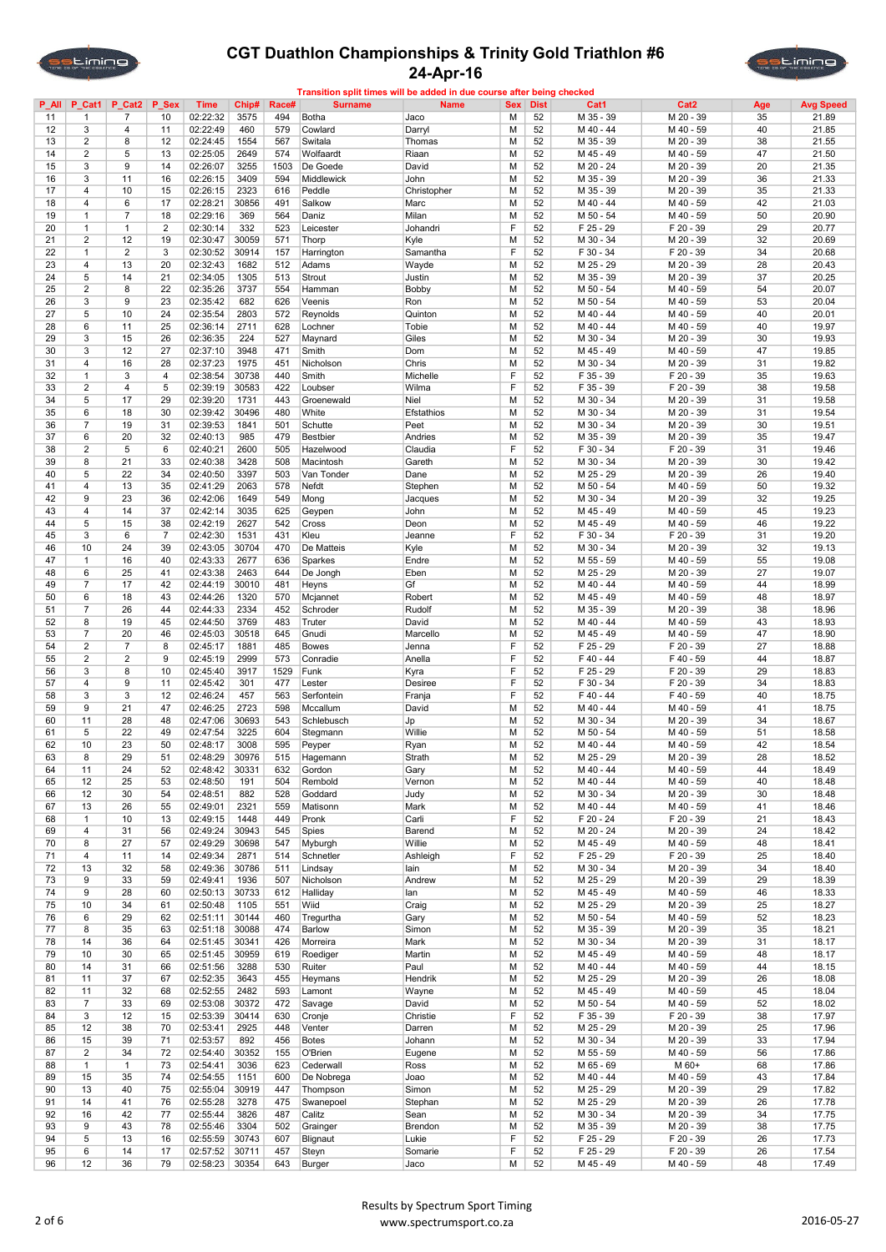

#### CGT Duathlon Championships & Trinity Gold Triathlon #6 24-Apr-16 Transition split times will be added in due course after being checked



| P_All | P_Cat1         | P_Cat2                  | P Sex          | Time                 | Chip# | Race# | <b>Surname</b>  | <b>Name</b> | <b>Sex</b> | <b>Dist</b> | Cat1      | Cat <sub>2</sub> | Age | <b>Avg Speed</b> |
|-------|----------------|-------------------------|----------------|----------------------|-------|-------|-----------------|-------------|------------|-------------|-----------|------------------|-----|------------------|
| 11    | 1              | $\overline{7}$          | 10             | 02:22:32             | 3575  | 494   | <b>Botha</b>    | Jaco        | M          | 52          | M 35 - 39 | M 20 - 39        | 35  | 21.89            |
| 12    | 3              | 4                       | 11             | 02:22:49             | 460   | 579   | Cowlard         | Darryl      | M          | 52          | M 40 - 44 | M 40 - 59        | 40  | 21.85            |
| 13    | $\overline{2}$ | 8                       | 12             | 02:24:45             | 1554  | 567   | Switala         | Thomas      | M          | 52          | M 35 - 39 | M 20 - 39        | 38  | 21.55            |
| 14    | $\overline{2}$ | 5                       | 13             | 02:25:05             | 2649  | 574   | Wolfaardt       | Riaan       | M          | 52          | M 45 - 49 | M 40 - 59        | 47  | 21.50            |
| 15    | 3              | 9                       | 14             | 02:26:07             | 3255  | 1503  | De Goede        | David       | M          | 52          | M 20 - 24 | M 20 - 39        | 20  | 21.35            |
| 16    | 3              | 11                      | 16             | 02:26:15             | 3409  | 594   | Middlewick      | John        | M          | 52          | M 35 - 39 | M 20 - 39        | 36  | 21.33            |
| 17    | $\overline{4}$ | 10                      | 15             | 02:26:15             | 2323  | 616   | Peddle          | Christopher | M          | 52          | M 35 - 39 | M 20 - 39        | 35  | 21.33            |
| 18    | $\overline{4}$ | 6                       | 17             | 02:28:21             | 30856 | 491   | Salkow          | Marc        | M          | 52          | M 40 - 44 | M 40 - 59        | 42  | 21.03            |
| 19    | $\mathbf{1}$   | $\overline{7}$          | 18             | 02:29:16             | 369   | 564   | Daniz           | Milan       | м          | 52          | M 50 - 54 | M 40 - 59        | 50  | 20.90            |
| 20    | $\mathbf{1}$   | $\mathbf{1}$            | $\overline{2}$ | 02:30:14             | 332   | 523   | Leicester       | Johandri    | F          | 52          | F 25 - 29 | F 20 - 39        | 29  | 20.77            |
| 21    | $\overline{2}$ | 12                      | 19             | 02:30:47             | 30059 | 571   | Thorp           | Kyle        | M          | 52          | M 30 - 34 | M 20 - 39        | 32  | 20.69            |
| 22    | $\mathbf{1}$   | $\overline{2}$          | 3              | 02:30:52             | 30914 | 157   | Harrington      | Samantha    | F          | 52          | F 30 - 34 | F 20 - 39        | 34  | 20.68            |
| 23    | $\overline{4}$ | 13                      | 20             | 02:32:43             | 1682  | 512   | Adams           | Wayde       | M          | 52          | M 25 - 29 | M 20 - 39        | 28  | 20.43            |
| 24    | 5              | 14                      | 21             | 02:34:05             | 1305  | 513   | Strout          | Justin      | M          | 52          | M 35 - 39 | M 20 - 39        | 37  | 20.25            |
| 25    | $\overline{2}$ | 8                       | 22             | 02:35:26             | 3737  | 554   | Hamman          | Bobby       | M          | 52          | M 50 - 54 | M 40 - 59        | 54  | 20.07            |
| 26    | 3              | 9                       | 23             | 02:35:42             | 682   | 626   | Veenis          |             | M          | 52          | M 50 - 54 | M 40 - 59        | 53  | 20.04            |
|       |                |                         |                |                      |       |       |                 | Ron         |            |             |           |                  |     |                  |
| 27    | 5              | 10                      | 24             | 02:35:54             | 2803  | 572   | Reynolds        | Quinton     | M          | 52          | M 40 - 44 | M 40 - 59        | 40  | 20.01            |
| 28    | 6              | 11                      | 25             | 02:36:14             | 2711  | 628   | Lochner         | Tobie       | M          | 52          | M 40 - 44 | M 40 - 59        | 40  | 19.97            |
| 29    | 3              | 15                      | 26             | 02:36:35             | 224   | 527   | Maynard         | Giles       | M          | 52          | M 30 - 34 | M 20 - 39        | 30  | 19.93            |
| 30    | 3              | 12                      | 27             | 02:37:10             | 3948  | 471   | Smith           | Dom         | M          | 52          | M 45 - 49 | M 40 - 59        | 47  | 19.85            |
| 31    | 4              | 16                      | 28             | 02:37:23             | 1975  | 451   | Nicholson       | Chris       | M          | 52          | M 30 - 34 | M 20 - 39        | 31  | 19.82            |
| 32    | $\mathbf{1}$   | 3                       | $\overline{4}$ | 02:38:54             | 30738 | 440   | Smith           | Michelle    | F          | 52          | F 35 - 39 | F 20 - 39        | 35  | 19.63            |
| 33    | $\overline{2}$ | $\overline{\mathbf{4}}$ | 5              | 02:39:19             | 30583 | 422   | Loubser         | Wilma       | F          | 52          | F 35 - 39 | F 20 - 39        | 38  | 19.58            |
| 34    | 5              | 17                      | 29             | 02:39:20             | 1731  | 443   | Groenewald      | Niel        | M          | 52          | M 30 - 34 | M 20 - 39        | 31  | 19.58            |
| 35    | 6              | 18                      | 30             | 02:39:42             | 30496 | 480   | White           | Efstathios  | M          | 52          | M 30 - 34 | M 20 - 39        | 31  | 19.54            |
| 36    | $\overline{7}$ | 19                      | 31             | 02:39:53             | 1841  | 501   | Schutte         | Peet        | M          | 52          | M 30 - 34 | M 20 - 39        | 30  | 19.51            |
| 37    | 6              | 20                      | 32             | 02:40:13             | 985   | 479   | <b>Bestbier</b> | Andries     | M          | 52          | M 35 - 39 | M 20 - 39        | 35  | 19.47            |
| 38    | $\overline{2}$ | 5                       | 6              | 02:40:21             | 2600  | 505   | Hazelwood       | Claudia     | F          | 52          | F 30 - 34 | F 20 - 39        | 31  | 19.46            |
| 39    | 8              | 21                      | 33             | 02:40:38             | 3428  | 508   | Macintosh       | Gareth      | M          | 52          | M 30 - 34 | M 20 - 39        | 30  | 19.42            |
| 40    | 5              | 22                      | 34             | 02:40:50             | 3397  | 503   | Van Tonder      | Dane        | м          | 52          | M 25 - 29 | M 20 - 39        | 26  | 19.40            |
| 41    | $\overline{4}$ | 13                      | 35             | 02:41:29             | 2063  | 578   | Nefdt           |             | M          | 52          | M 50 - 54 | M 40 - 59        | 50  | 19.32            |
|       | 9              |                         |                |                      |       |       |                 | Stephen     |            |             | M 30 - 34 |                  |     |                  |
| 42    |                | 23                      | 36             | 02:42:06             | 1649  | 549   | Mong            | Jacques     | M          | 52          |           | M 20 - 39        | 32  | 19.25            |
| 43    | $\overline{4}$ | 14                      | 37             | 02:42:14             | 3035  | 625   | Geypen          | John        | M          | 52          | M 45 - 49 | M 40 - 59        | 45  | 19.23            |
| 44    | 5              | 15                      | 38             | 02:42:19             | 2627  | 542   | Cross           | Deon        | M          | 52          | M 45 - 49 | M 40 - 59        | 46  | 19.22            |
| 45    | 3              | 6                       | $\overline{7}$ | 02:42:30             | 1531  | 431   | Kleu            | Jeanne      | F          | 52          | F 30 - 34 | $F 20 - 39$      | 31  | 19.20            |
| 46    | 10             | 24                      | 39             | 02:43:05             | 30704 | 470   | De Matteis      | Kyle        | M          | 52          | M 30 - 34 | M 20 - 39        | 32  | 19.13            |
| 47    | $\mathbf{1}$   | 16                      | 40             | 02:43:33             | 2677  | 636   | Sparkes         | Endre       | M          | 52          | M 55 - 59 | M 40 - 59        | 55  | 19.08            |
| 48    | 6              | 25                      | 41             | 02:43:38             | 2463  | 644   | De Jongh        | Eben        | M          | 52          | M 25 - 29 | M 20 - 39        | 27  | 19.07            |
| 49    | $\overline{7}$ | 17                      | 42             | 02:44:19             | 30010 | 481   | Heyns           | Gf          | M          | 52          | M 40 - 44 | M 40 - 59        | 44  | 18.99            |
| 50    | 6              | 18                      | 43             | 02:44:26             | 1320  | 570   | Mcjannet        | Robert      | M          | 52          | M 45 - 49 | M 40 - 59        | 48  | 18.97            |
| 51    | $\overline{7}$ | 26                      | 44             | 02:44:33             | 2334  | 452   | Schroder        | Rudolf      | M          | 52          | M 35 - 39 | M 20 - 39        | 38  | 18.96            |
| 52    | 8              | 19                      | 45             | 02:44:50             | 3769  | 483   | Truter          | David       | M          | 52          | M 40 - 44 | M 40 - 59        | 43  | 18.93            |
| 53    | $\overline{7}$ | 20                      | 46             | 02:45:03             | 30518 | 645   | Gnudi           | Marcello    | M          | 52          | M 45 - 49 | M 40 - 59        | 47  | 18.90            |
| 54    | $\overline{2}$ | $\overline{7}$          | 8              | 02:45:17             | 1881  | 485   | <b>Bowes</b>    | Jenna       | F          | 52          | F 25 - 29 | F 20 - 39        | 27  | 18.88            |
| 55    | $\overline{2}$ | $\overline{2}$          | 9              | 02:45:19             | 2999  | 573   | Conradie        | Anella      | F          | 52          | F 40 - 44 | F 40 - 59        | 44  | 18.87            |
| 56    | 3              | 8                       | 10             | 02:45:40             | 3917  | 1529  | Funk            | Kyra        | F          | 52          | F 25 - 29 | F 20 - 39        | 29  | 18.83            |
| 57    | 4              | 9                       | 11             | 02:45:42             | 301   | 477   | Lester          | Desiree     | F          | 52          | F 30 - 34 | F 20 - 39        | 34  | 18.83            |
| 58    | 3              | 3                       | 12             | 02:46:24             | 457   | 563   | Serfontein      |             | F          | 52          | F 40 - 44 | F 40 - 59        | 40  | 18.75            |
|       |                |                         |                |                      |       |       |                 | Franja      |            |             |           |                  |     |                  |
| 59    | 9              | 21                      | 47             | 02:46:25             | 2723  | 598   | Mccallum        | David       | M          | 52          | M 40 - 44 | M 40 - 59        | 41  | 18.75            |
| 60    | 11             | 28                      | 48             | 02:47:06             | 30693 | 543   | Schlebusch      | Jp          | M          | 52          | M 30 - 34 | M 20 - 39        | 34  | 18.67            |
| 61    | 5              | 22                      | 49             | 02:47:54             | 3225  | 604   | Stegmann        | Willie      | M          | 52          | M 50 - 54 | M 40 - 59        | 51  | 18.58            |
| 62    | 10             | 23                      | 50             | 02:48:17             | 3008  | 595   | Peyper          | Ryan        | M          | 52          | M 40 - 44 | M 40 - 59        | 42  | 18.54            |
| 63    | 8              | 29                      | 51             | 02:48:29             | 30976 | 515   | Hagemann        | Strath      | М          | 52          | M 25 - 29 | M 20 - 39        | 28  | 18.52            |
| 64    | 11             | 24                      | 52             | 02:48:42             | 30331 | 632   | Gordon          | Gary        | M          | 52          | M 40 - 44 | M 40 - 59        | 44  | 18.49            |
| 65    | 12             | 25                      | 53             | 02:48:50             | 191   | 504   | Rembold         | Vernon      | М          | 52          | M 40 - 44 | M 40 - 59        | 40  | 18.48            |
| 66    | 12             | 30                      | 54             | 02:48:51             | 882   | 528   | Goddard         | Judy        | M          | 52          | M 30 - 34 | M 20 - 39        | 30  | 18.48            |
| 67    | 13             | 26                      | 55             | 02:49:01             | 2321  | 559   | Matisonn        | Mark        | М          | 52          | M 40 - 44 | M 40 - 59        | 41  | 18.46            |
| 68    | $\mathbf{1}$   | 10                      | 13             | 02:49:15             | 1448  | 449   | Pronk           | Carli       | F          | 52          | F 20 - 24 | F 20 - 39        | 21  | 18.43            |
| 69    | $\overline{4}$ | 31                      | 56             | 02:49:24             | 30943 | 545   | Spies           | Barend      | М          | 52          | M 20 - 24 | M 20 - 39        | 24  | 18.42            |
| 70    | 8              | 27                      | 57             | 02:49:29             | 30698 | 547   | Myburgh         | Willie      | M          | 52          | M 45 - 49 | M 40 - 59        | 48  | 18.41            |
| 71    | $\overline{4}$ | 11                      | 14             | 02:49:34             | 2871  | 514   | Schnetler       | Ashleigh    | F          | 52          | F 25 - 29 | F 20 - 39        | 25  | 18.40            |
| 72    | 13             | 32                      | 58             | 02:49:36             | 30786 | 511   | Lindsay         | lain        | М          | 52          | M 30 - 34 | M 20 - 39        | 34  | 18.40            |
| 73    | 9              | 33                      | 59             | 02:49:41             | 1936  | 507   | Nicholson       | Andrew      | М          | 52          | M 25 - 29 | M 20 - 39        | 29  | 18.39            |
|       | 9              |                         |                |                      |       |       |                 |             |            |             | M 45 - 49 |                  |     |                  |
| 74    |                | 28                      | 60             | 02:50:13<br>02:50:48 | 30733 | 612   | Halliday        | lan         | М          | 52          |           | M 40 - 59        | 46  | 18.33            |
| 75    | 10             | 34                      | 61             |                      | 1105  | 551   | Wiid            | Craig       | M          | 52          | M 25 - 29 | M 20 - 39        | 25  | 18.27            |
| 76    | 6              | 29                      | 62             | 02:51:11             | 30144 | 460   | Tregurtha       | Gary        | M          | 52          | M 50 - 54 | M 40 - 59        | 52  | 18.23            |
| 77    | 8              | 35                      | 63             | 02:51:18             | 30088 | 474   | <b>Barlow</b>   | Simon       | М          | 52          | M 35 - 39 | M 20 - 39        | 35  | 18.21            |
| 78    | 14             | 36                      | 64             | 02:51:45             | 30341 | 426   | Morreira        | Mark        | М          | 52          | M 30 - 34 | M 20 - 39        | 31  | 18.17            |
| 79    | 10             | 30                      | 65             | 02:51:45             | 30959 | 619   | Roediger        | Martin      | M          | 52          | M 45 - 49 | M 40 - 59        | 48  | 18.17            |
| 80    | 14             | 31                      | 66             | 02:51:56             | 3288  | 530   | Ruiter          | Paul        | M          | 52          | M 40 - 44 | M 40 - 59        | 44  | 18.15            |
| 81    | 11             | 37                      | 67             | 02:52:35             | 3643  | 455   | Heymans         | Hendrik     | M          | 52          | M 25 - 29 | M 20 - 39        | 26  | 18.08            |
| 82    | 11             | 32                      | 68             | 02:52:55             | 2482  | 593   | Lamont          | Wayne       | М          | 52          | M 45 - 49 | M 40 - 59        | 45  | 18.04            |
| 83    | $\overline{7}$ | 33                      | 69             | 02:53:08             | 30372 | 472   | Savage          | David       | М          | 52          | M 50 - 54 | M 40 - 59        | 52  | 18.02            |
| 84    | 3              | 12                      | 15             | 02:53:39             | 30414 | 630   | Cronje          | Christie    | F          | 52          | F 35 - 39 | F 20 - 39        | 38  | 17.97            |
| 85    | 12             | 38                      | 70             | 02:53:41             | 2925  | 448   | Venter          | Darren      | M          | 52          | M 25 - 29 | M 20 - 39        | 25  | 17.96            |
| 86    | 15             | 39                      | 71             | 02:53:57             | 892   | 456   | <b>Botes</b>    | Johann      | М          | 52          | M 30 - 34 | M 20 - 39        | 33  | 17.94            |
| 87    | $\overline{2}$ | 34                      | 72             | 02:54:40             | 30352 | 155   | O'Brien         | Eugene      | М          | 52          | M 55 - 59 | M 40 - 59        | 56  | 17.86            |
| 88    | $\mathbf{1}$   | $\mathbf{1}$            | 73             | 02:54:41             | 3036  | 623   | Cederwall       | Ross        | M          | 52          | M 65 - 69 | M 60+            | 68  | 17.86            |
| 89    | 15             | 35                      | 74             | 02:54:55             | 1151  | 600   | De Nobrega      | Joao        | M          | 52          | M 40 - 44 | M 40 - 59        | 43  | 17.84            |
| 90    | 13             | 40                      | 75             | 02:55:04             | 30919 | 447   | Thompson        | Simon       | M          | 52          | M 25 - 29 | M 20 - 39        | 29  | 17.82            |
| 91    | 14             | 41                      | 76             | 02:55:28             | 3278  | 475   | Swanepoel       | Stephan     | M          | 52          | M 25 - 29 | M 20 - 39        | 26  | 17.78            |
|       | 16             | 42                      |                |                      |       | 487   |                 |             | М          | 52          | M 30 - 34 |                  |     |                  |
| 92    |                |                         | 77             | 02:55:44             | 3826  |       | Calitz          | Sean        |            |             |           | M 20 - 39        | 34  | 17.75            |
| 93    | 9              | 43                      | 78             | 02:55:46             | 3304  | 502   | Grainger        | Brendon     | M          | 52          | M 35 - 39 | M 20 - 39        | 38  | 17.75            |
| 94    | 5              | 13                      | 16             | 02:55:59             | 30743 | 607   | Blignaut        | Lukie       | F          | 52          | F 25 - 29 | F 20 - 39        | 26  | 17.73            |
| 95    | 6              | 14                      | 17             | 02:57:52             | 30711 | 457   | Steyn           | Somarie     | F          | 52          | F 25 - 29 | F 20 - 39        | 26  | 17.54            |
| 96    | 12             | 36                      | 79             | 02:58:23 30354       |       | 643   | Burger          | Jaco        | М          | 52          | M 45 - 49 | M 40 - 59        | 48  | 17.49            |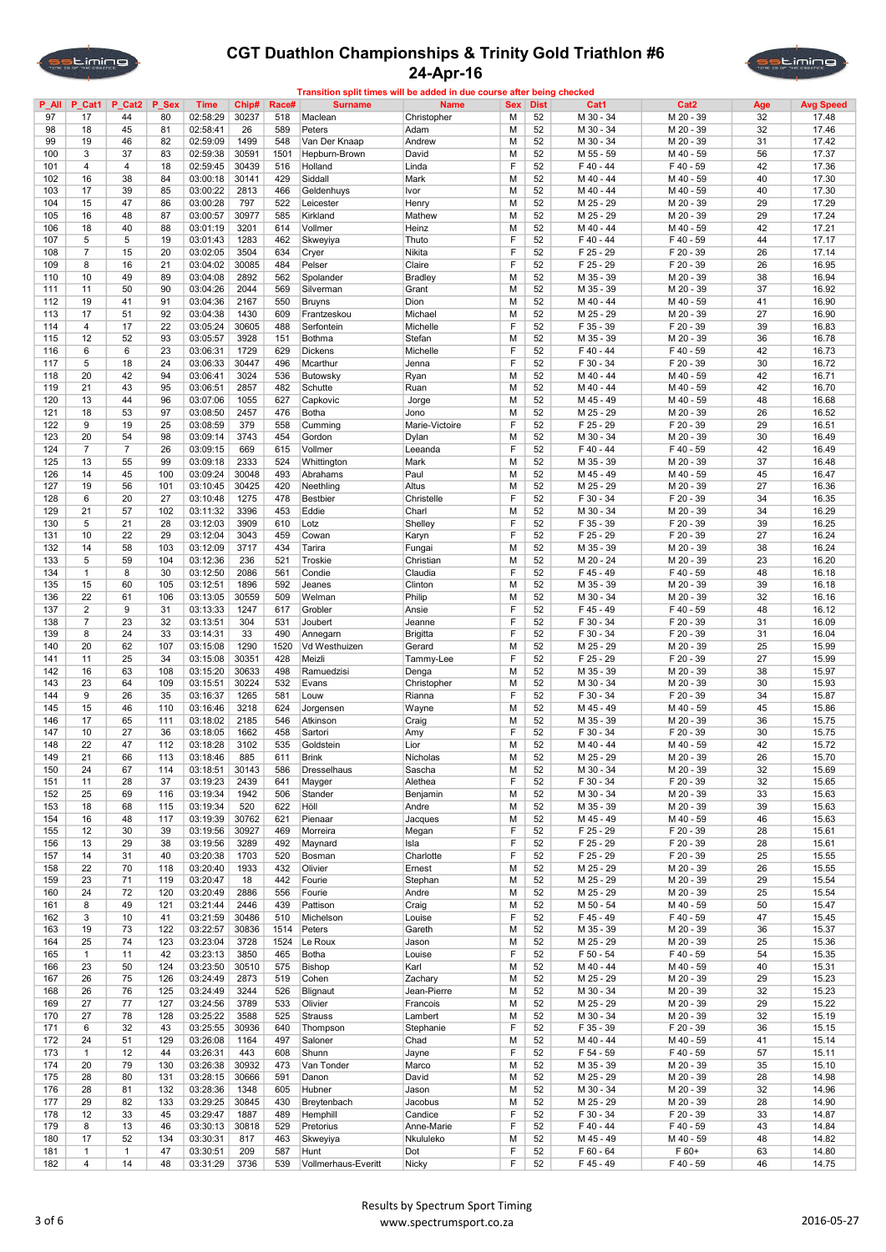



| $P$ All | P_Cat1         | P_Cat2         | P_Sex | Time     | Chip# | Race# | <b>Surname</b>      | <b>Name</b>     | <b>Sex</b> | <b>Dist</b> | Cat1        | Cat <sub>2</sub> | Age | <b>Avg Speed</b> |
|---------|----------------|----------------|-------|----------|-------|-------|---------------------|-----------------|------------|-------------|-------------|------------------|-----|------------------|
| 97      | 17             | 44             | 80    | 02:58:29 | 30237 | 518   | Maclean             | Christopher     | M          | 52          | M 30 - 34   | M 20 - 39        | 32  | 17.48            |
| 98      | 18             | 45             | 81    | 02:58:41 | 26    | 589   | Peters              | Adam            | M          | 52          | M 30 - 34   | M 20 - 39        | 32  | 17.46            |
| 99      | 19             | 46             | 82    | 02:59:09 | 1499  | 548   | Van Der Knaap       | Andrew          | M          | 52          | M 30 - 34   | M 20 - 39        | 31  | 17.42            |
| 100     | 3              | 37             | 83    | 02:59:38 | 30591 | 1501  | Hepburn-Brown       | David           | M          | 52          | M 55 - 59   | M 40 - 59        | 56  | 17.37            |
| 101     | $\overline{4}$ | $\overline{4}$ | 18    | 02:59:45 | 30439 | 516   | Holland             | Linda           | F          | 52          | F40-44      | F 40 - 59        | 42  | 17.36            |
| 102     | 16             | 38             | 84    | 03:00:18 | 30141 | 429   | Siddall             | Mark            | M          | 52          | M 40 - 44   | M 40 - 59        | 40  | 17.30            |
| 103     | 17             | 39             | 85    | 03:00:22 | 2813  | 466   | Geldenhuys          | Ivor            | M          | 52          | M 40 - 44   | M 40 - 59        | 40  | 17.30            |
| 104     | 15             | 47             | 86    | 03:00:28 | 797   | 522   | Leicester           | Henry           | M          | 52          | M 25 - 29   | M 20 - 39        | 29  | 17.29            |
| 105     | 16             | 48             | 87    |          | 30977 | 585   | Kirkland            |                 | M          | 52          |             |                  | 29  | 17.24            |
|         |                |                |       | 03:00:57 |       |       |                     | Mathew          |            |             | M 25 - 29   | M 20 - 39        |     |                  |
| 106     | 18             | 40             | 88    | 03:01:19 | 3201  | 614   | Vollmer             | Heinz           | M          | 52          | M 40 - 44   | M 40 - 59        | 42  | 17.21            |
| 107     | 5              | 5              | 19    | 03:01:43 | 1283  | 462   | Skweyiya            | Thuto           | F          | 52          | F40-44      | F 40 - 59        | 44  | 17.17            |
| 108     | $\overline{7}$ | 15             | 20    | 03:02:05 | 3504  | 634   | Cryer               | Nikita          | F          | 52          | F 25 - 29   | F 20 - 39        | 26  | 17.14            |
| 109     | 8              | 16             | 21    | 03:04:02 | 30085 | 484   | Pelser              | Claire          | F          | 52          | F 25 - 29   | F 20 - 39        | 26  | 16.95            |
| 110     | 10             | 49             | 89    | 03:04:08 | 2892  | 562   | Spolander           | <b>Bradley</b>  | M          | 52          | M 35 - 39   | M 20 - 39        | 38  | 16.94            |
| 111     | 11             | 50             | 90    | 03:04:26 | 2044  | 569   | Silverman           | Grant           | M          | 52          | M 35 - 39   | M 20 - 39        | 37  | 16.92            |
| 112     | 19             | 41             | 91    | 03:04:36 | 2167  | 550   | <b>Bruyns</b>       | Dion            | M          | 52          | M 40 - 44   | M 40 - 59        | 41  | 16.90            |
| 113     | 17             | 51             | 92    | 03:04:38 | 1430  | 609   | Frantzeskou         | Michael         | M          | 52          | M 25 - 29   | M 20 - 39        | 27  | 16.90            |
| 114     | $\overline{4}$ | 17             | 22    | 03:05:24 | 30605 | 488   | Serfontein          | Michelle        | F          | 52          | F 35 - 39   | F 20 - 39        | 39  | 16.83            |
| 115     | 12             | 52             | 93    | 03:05:57 | 3928  | 151   | <b>Bothma</b>       | Stefan          | M          | 52          | M 35 - 39   | M 20 - 39        | 36  | 16.78            |
| 116     | 6              | 6              | 23    | 03:06:31 | 1729  | 629   | <b>Dickens</b>      | Michelle        | F          | 52          | F40-44      | F 40 - 59        | 42  | 16.73            |
| 117     | 5              | 18             | 24    | 03:06:33 | 30447 | 496   | Mcarthur            | Jenna           | F          | 52          | F 30 - 34   | F 20 - 39        | 30  | 16.72            |
| 118     | 20             | 42             | 94    | 03:06:41 | 3024  | 536   | Butowsky            | Ryan            | M          | 52          | M 40 - 44   | M 40 - 59        | 42  | 16.71            |
|         |                | 43             |       |          |       |       |                     |                 |            | 52          | M 40 - 44   | M 40 - 59        | 42  |                  |
| 119     | 21             |                | 95    | 03:06:51 | 2857  | 482   | Schutte             | Ruan            | M          |             |             |                  |     | 16.70            |
| 120     | 13             | 44             | 96    | 03:07:06 | 1055  | 627   | Capkovic            | Jorge           | M          | 52          | M 45 - 49   | M 40 - 59        | 48  | 16.68            |
| 121     | 18             | 53             | 97    | 03:08:50 | 2457  | 476   | Botha               | Jono            | M          | 52          | M 25 - 29   | M 20 - 39        | 26  | 16.52            |
| 122     | 9              | 19             | 25    | 03:08:59 | 379   | 558   | Cumming             | Marie-Victoire  | F          | 52          | F 25 - 29   | F 20 - 39        | 29  | 16.51            |
| 123     | 20             | 54             | 98    | 03:09:14 | 3743  | 454   | Gordon              | Dylan           | M          | 52          | M 30 - 34   | M 20 - 39        | 30  | 16.49            |
| 124     | $\overline{7}$ | $\overline{7}$ | 26    | 03:09:15 | 669   | 615   | Vollmer             | Leeanda         | F          | 52          | F40-44      | F 40 - 59        | 42  | 16.49            |
| 125     | 13             | 55             | 99    | 03:09:18 | 2333  | 524   | Whittington         | Mark            | M          | 52          | M 35 - 39   | M 20 - 39        | 37  | 16.48            |
| 126     | 14             | 45             | 100   | 03:09:24 | 30048 | 493   | Abrahams            | Paul            | M          | 52          | M 45 - 49   | M 40 - 59        | 45  | 16.47            |
| 127     | 19             | 56             | 101   | 03:10:45 | 30425 | 420   | Neethling           | Altus           | M          | 52          | M 25 - 29   | M 20 - 39        | 27  | 16.36            |
| 128     | 6              | 20             | 27    |          |       |       | <b>Bestbier</b>     |                 | F          | 52          | F 30 - 34   | F 20 - 39        | 34  | 16.35            |
|         |                |                |       | 03:10:48 | 1275  | 478   |                     | Christelle      |            |             |             |                  |     |                  |
| 129     | 21             | 57             | 102   | 03:11:32 | 3396  | 453   | Eddie               | Charl           | M          | 52          | M 30 - 34   | M 20 - 39        | 34  | 16.29            |
| 130     | 5              | 21             | 28    | 03:12:03 | 3909  | 610   | Lotz                | Shelley         | F          | 52          | F 35 - 39   | F 20 - 39        | 39  | 16.25            |
| 131     | 10             | 22             | 29    | 03:12:04 | 3043  | 459   | Cowan               | Karyn           | F          | 52          | F 25 - 29   | F 20 - 39        | 27  | 16.24            |
| 132     | 14             | 58             | 103   | 03:12:09 | 3717  | 434   | Tarira              | Fungai          | M          | 52          | M 35 - 39   | M 20 - 39        | 38  | 16.24            |
| 133     | 5              | 59             | 104   | 03:12:36 | 236   | 521   | Troskie             | Christian       | M          | 52          | M 20 - 24   | M 20 - 39        | 23  | 16.20            |
| 134     | 1              | 8              | 30    | 03:12:50 | 2086  | 561   | Condie              | Claudia         | F          | 52          | F 45 - 49   | F 40 - 59        | 48  | 16.18            |
| 135     | 15             | 60             | 105   | 03:12:51 | 1896  | 592   | Jeanes              | Clinton         | M          | 52          | M 35 - 39   | M 20 - 39        | 39  | 16.18            |
| 136     | 22             | 61             | 106   | 03:13:05 | 30559 | 509   | Welman              | Philip          | M          | 52          | M 30 - 34   | M 20 - 39        | 32  | 16.16            |
| 137     | $\overline{2}$ | 9              | 31    | 03:13:33 | 1247  | 617   | Grobler             | Ansie           | F          | 52          | F45-49      | F 40 - 59        | 48  | 16.12            |
|         |                |                |       |          |       |       |                     |                 | F          |             |             |                  |     |                  |
| 138     | $\overline{7}$ | 23             | 32    | 03:13:51 | 304   | 531   | Joubert             | Jeanne          |            | 52          | F 30 - 34   | F 20 - 39        | 31  | 16.09            |
| 139     | 8              | 24             | 33    | 03:14:31 | 33    | 490   | Annegarn            | <b>Brigitta</b> | F          | 52          | F 30 - 34   | F 20 - 39        | 31  | 16.04            |
| 140     | 20             | 62             | 107   | 03:15:08 | 1290  | 1520  | Vd Westhuizen       | Gerard          | M          | 52          | M 25 - 29   | M 20 - 39        | 25  | 15.99            |
| 141     | 11             | 25             | 34    | 03:15:08 | 30351 | 428   | Meizli              | Tammy-Lee       | F          | 52          | F 25 - 29   | F 20 - 39        | 27  | 15.99            |
| 142     | 16             | 63             | 108   | 03:15:20 | 30633 | 498   | Ramuedzisi          | Denga           | M          | 52          | M 35 - 39   | M 20 - 39        | 38  | 15.97            |
| 143     | 23             | 64             | 109   | 03:15:51 | 30224 | 532   | Evans               | Christopher     | M          | 52          | M 30 - 34   | M 20 - 39        | 30  | 15.93            |
| 144     | 9              | 26             | 35    | 03:16:37 | 1265  | 581   | Louw                | Rianna          | F          | 52          | F 30 - 34   | F 20 - 39        | 34  | 15.87            |
| 145     | 15             | 46             | 110   | 03:16:46 | 3218  | 624   | Jorgensen           | Wayne           | M          | 52          | M 45 - 49   | M 40 - 59        | 45  | 15.86            |
| 146     | 17             | 65             | 111   | 03:18:02 | 2185  | 546   | Atkinson            | Craig           | M          | 52          | M 35 - 39   | M 20 - 39        | 36  | 15.75            |
| 147     | 10             | 27             | 36    | 03:18:05 | 1662  | 458   | Sartori             | Amy             | F          | 52          | F 30 - 34   | F 20 - 39        | 30  | 15.75            |
| 148     | 22             | 47             | 112   | 03:18:28 | 3102  | 535   | Goldstein           | Lior            | M          | 52          | M 40 - 44   | M 40 - 59        | 42  | 15.72            |
| 149     | 21             | 66             | 113   |          | 885   | 611   |                     |                 | M          | 52          |             |                  | 26  |                  |
|         |                |                |       | 03:18:46 |       |       | <b>Brink</b>        | Nicholas        |            |             | M 25 - 29   | M 20 - 39        |     | 15.70            |
| 150     | 24             | 67             | 114   | 03:18:51 | 30143 | 586   | Dresselhaus         | Sascha          | М          | 52          | M 30 - 34   | M 20 - 39        | 32  | 15.69            |
| 151     | 11             | 28             | 37    | 03:19:23 | 2439  | 641   | Mayger              | Alethea         | F          | 52          | F 30 - 34   | F 20 - 39        | 32  | 15.65            |
| 152     | 25             | 69             | 116   | 03:19:34 | 1942  | 506   | Stander             | Benjamin        | M          | 52          | M 30 - 34   | M 20 - 39        | 33  | 15.63            |
| 153     | 18             | 68             | 115   | 03:19:34 | 520   | 622   | Höll                | Andre           | M          | 52          | M 35 - 39   | M 20 - 39        | 39  | 15.63            |
| 154     | 16             | 48             | 117   | 03:19:39 | 30762 | 621   | Pienaar             | Jacques         | M          | 52          | M 45 - 49   | M 40 - 59        | 46  | 15.63            |
| 155     | 12             | 30             | 39    | 03:19:56 | 30927 | 469   | Morreira            | Megan           | F          | 52          | F 25 - 29   | F 20 - 39        | 28  | 15.61            |
| 156     | 13             | 29             | 38    | 03:19:56 | 3289  | 492   | Maynard             | Isla            | F          | 52          | F 25 - 29   | F 20 - 39        | 28  | 15.61            |
| 157     | 14             | 31             | 40    | 03:20:38 | 1703  | 520   | Bosman              | Charlotte       | F          | 52          | F 25 - 29   | F 20 - 39        | 25  | 15.55            |
| 158     | 22             | 70             | 118   | 03:20:40 | 1933  | 432   | Olivier             | Ernest          | M          | 52          | M 25 - 29   | M 20 - 39        | 26  | 15.55            |
| 159     | 23             | 71             | 119   | 03:20:47 | 18    | 442   | Fourie              | Stephan         | M          | 52          | M 25 - 29   | M 20 - 39        | 29  | 15.54            |
| 160     | 24             | 72             | 120   | 03:20:49 | 2886  | 556   | Fourie              | Andre           | M          | 52          | M 25 - 29   | M 20 - 39        | 25  | 15.54            |
| 161     | 8              | 49             | 121   | 03:21:44 | 2446  | 439   | Pattison            | Craig           | M          | 52          | M 50 - 54   | M 40 - 59        | 50  | 15.47            |
| 162     | 3              | 10             | 41    | 03:21:59 | 30486 | 510   | Michelson           | Louise          | F          | 52          | F 45 - 49   | F 40 - 59        | 47  | 15.45            |
|         |                |                |       |          |       |       |                     |                 |            |             | M 35 - 39   |                  |     |                  |
| 163     | 19             | 73             | 122   | 03:22:57 | 30836 | 1514  | Peters              | Gareth          | M          | 52          |             | M 20 - 39        | 36  | 15.37            |
| 164     | 25             | 74             | 123   | 03:23:04 | 3728  | 1524  | Le Roux             | Jason           | M          | 52          | M 25 - 29   | M 20 - 39        | 25  | 15.36            |
| 165     | 1              | 11             | 42    | 03:23:13 | 3850  | 465   | Botha               | Louise          | F          | 52          | F 50 - 54   | F 40 - 59        | 54  | 15.35            |
| 166     | 23             | 50             | 124   | 03:23:50 | 30510 | 575   | <b>Bishop</b>       | Karl            | M          | 52          | M 40 - 44   | M 40 - 59        | 40  | 15.31            |
| 167     | 26             | 75             | 126   | 03:24:49 | 2873  | 519   | Cohen               | Zachary         | M          | 52          | M 25 - 29   | M 20 - 39        | 29  | 15.23            |
| 168     | 26             | 76             | 125   | 03:24:49 | 3244  | 526   | Blignaut            | Jean-Pierre     | M          | 52          | M 30 - 34   | M 20 - 39        | 32  | 15.23            |
| 169     | 27             | 77             | 127   | 03:24:56 | 3789  | 533   | Olivier             | Francois        | M          | 52          | M 25 - 29   | M 20 - 39        | 29  | 15.22            |
| 170     | 27             | 78             | 128   | 03:25:22 | 3588  | 525   | <b>Strauss</b>      | Lambert         | M          | 52          | M 30 - 34   | M 20 - 39        | 32  | 15.19            |
| 171     | 6              | 32             | 43    | 03:25:55 | 30936 | 640   | Thompson            | Stephanie       | F          | 52          | F 35 - 39   | F 20 - 39        | 36  | 15.15            |
| 172     | 24             | 51             | 129   | 03:26:08 | 1164  | 497   | Saloner             | Chad            | M          | 52          | M 40 - 44   | M 40 - 59        | 41  | 15.14            |
| 173     | 1              | 12             | 44    | 03:26:31 | 443   | 608   | Shunn               |                 | F          | 52          | F 54 - 59   | F 40 - 59        | 57  | 15.11            |
|         |                |                |       |          |       |       |                     | Jayne           |            |             |             |                  |     |                  |
| 174     | 20             | 79             | 130   | 03:26:38 | 30932 | 473   | Van Tonder          | Marco           | M          | 52          | M 35 - 39   | M 20 - 39        | 35  | 15.10            |
| 175     | 28             | 80             | 131   | 03:28:15 | 30666 | 591   | Danon               | David           | M          | 52          | M 25 - 29   | M 20 - 39        | 28  | 14.98            |
| 176     | 28             | 81             | 132   | 03:28:36 | 1348  | 605   | Hubner              | Jason           | М          | 52          | M 30 - 34   | M 20 - 39        | 32  | 14.96            |
| 177     | 29             | 82             | 133   | 03:29:25 | 30845 | 430   | Breytenbach         | Jacobus         | M          | 52          | M 25 - 29   | M 20 - 39        | 28  | 14.90            |
| 178     | 12             | 33             | 45    | 03:29:47 | 1887  | 489   | Hemphill            | Candice         | F          | 52          | F 30 - 34   | F 20 - 39        | 33  | 14.87            |
| 179     | 8              | 13             | 46    | 03:30:13 | 30818 | 529   | Pretorius           | Anne-Marie      | F          | 52          | F40-44      | F 40 - 59        | 43  | 14.84            |
| 180     | 17             | 52             | 134   | 03:30:31 | 817   | 463   | Skweyiya            | Nkululeko       | М          | 52          | M 45 - 49   | M 40 - 59        | 48  | 14.82            |
| 181     | $\mathbf{1}$   | $\mathbf{1}$   | 47    | 03:30:51 | 209   | 587   | Hunt                | Dot             | F          | 52          | $F 60 - 64$ | F 60+            | 63  | 14.80            |
| 182     | $\overline{4}$ | 14             | 48    | 03:31:29 | 3736  | 539   | Vollmerhaus-Everitt | Nicky           | F          | 52          | F 45 - 49   | F 40 - 59        | 46  | 14.75            |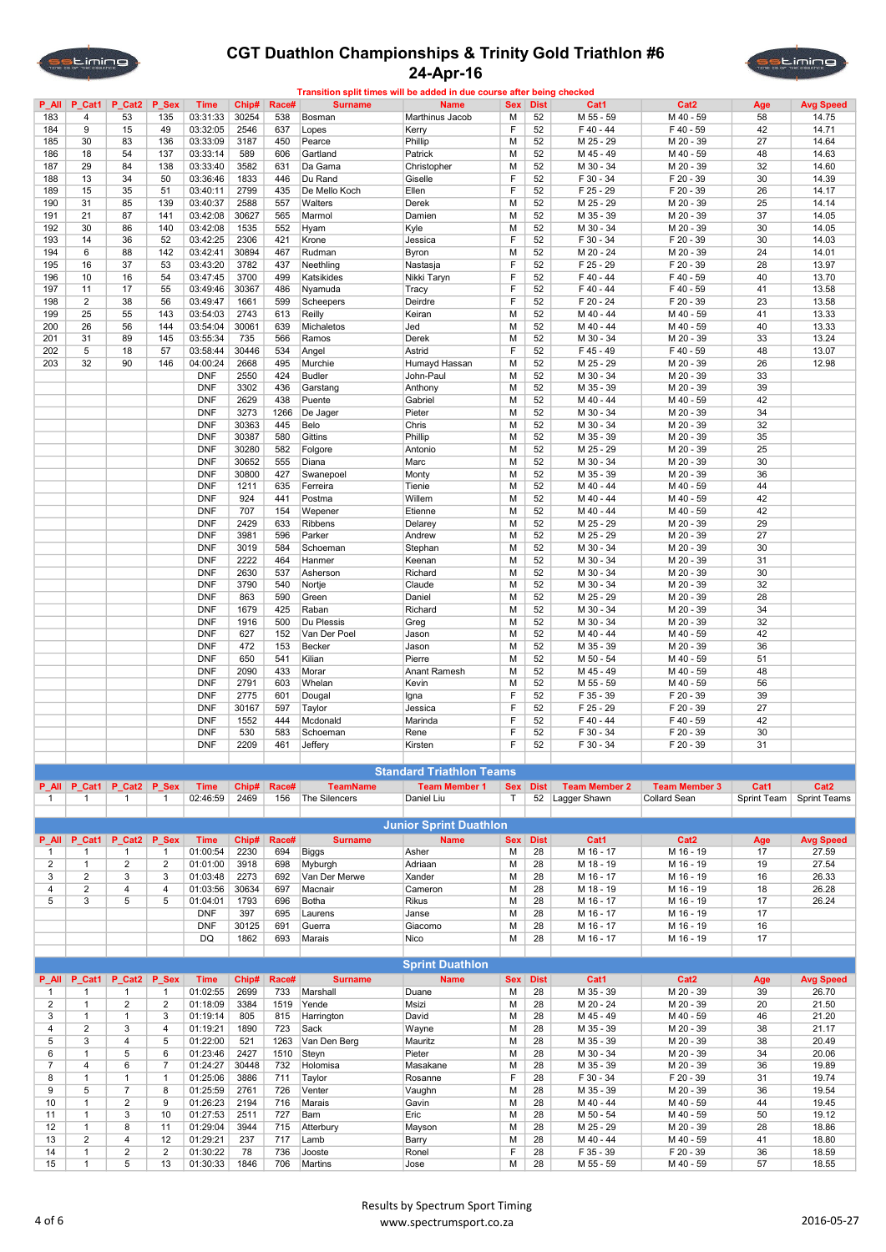



|                |                         |                |                  |             |       |       | Transition split times will be added in due course after being checked |                                 |            |             |                      |                      |             |                     |
|----------------|-------------------------|----------------|------------------|-------------|-------|-------|------------------------------------------------------------------------|---------------------------------|------------|-------------|----------------------|----------------------|-------------|---------------------|
| $P$ All        | $P_{at1}$               | P_Cat2         | P_Sex            | Time        | Chip# | Race# | <b>Surname</b>                                                         | <b>Name</b>                     | <b>Sex</b> | <b>Dist</b> | Cat1                 | Cat <sub>2</sub>     | Age         | <b>Avg Speed</b>    |
| 183            | 4                       | 53             | 135              | 03:31:33    | 30254 | 538   | Bosman                                                                 | Marthinus Jacob                 | M          | 52          | M 55 - 59            | M 40 - 59            | 58          | 14.75               |
|                |                         |                |                  |             |       |       |                                                                        |                                 |            |             |                      |                      |             |                     |
| 184            | 9                       | 15             | 49               | 03:32:05    | 2546  | 637   | Lopes                                                                  | Kerry                           | F          | 52          | F 40 - 44            | F 40 - 59            | 42          | 14.71               |
| 185            | 30                      | 83             | 136              | 03:33:09    | 3187  | 450   | Pearce                                                                 | Phillip                         | M          | 52          | M 25 - 29            | M 20 - 39            | 27          | 14.64               |
| 186            | 18                      | 54             | 137              | 03:33:14    | 589   | 606   | Gartland                                                               | Patrick                         | M          | 52          | M 45 - 49            | M 40 - 59            | 48          | 14.63               |
|                |                         |                |                  |             |       |       |                                                                        |                                 |            |             |                      |                      |             |                     |
| 187            | 29                      | 84             | 138              | 03:33:40    | 3582  | 631   | Da Gama                                                                | Christopher                     | M          | 52          | M 30 - 34            | M 20 - 39            | 32          | 14.60               |
| 188            | 13                      | 34             | 50               | 03:36:46    | 1833  | 446   | Du Rand                                                                | Giselle                         | F          | 52          | F 30 - 34            | F 20 - 39            | 30          | 14.39               |
| 189            | 15                      | 35             | 51               | 03:40:11    | 2799  | 435   | De Mello Koch                                                          | Ellen                           | F          | 52          | F 25 - 29            | F 20 - 39            | 26          | 14.17               |
|                |                         | 85             |                  | 03:40:37    |       |       |                                                                        |                                 |            |             |                      |                      |             |                     |
| 190            | 31                      |                | 139              |             | 2588  | 557   | Walters                                                                | Derek                           | M          | 52          | M 25 - 29            | M 20 - 39            | 25          | 14.14               |
| 191            | 21                      | 87             | 141              | 03:42:08    | 30627 | 565   | Marmol                                                                 | Damien                          | M          | 52          | M 35 - 39            | M 20 - 39            | 37          | 14.05               |
| 192            | 30                      | 86             | 140              | 03:42:08    | 1535  | 552   | Hyam                                                                   | Kyle                            | M          | 52          | M 30 - 34            | M 20 - 39            | 30          | 14.05               |
| 193            | 14                      | 36             | 52               | 03:42:25    | 2306  | 421   | Krone                                                                  | Jessica                         | F          | 52          | F 30 - 34            | F 20 - 39            | 30          | 14.03               |
|                |                         |                |                  |             |       |       |                                                                        |                                 |            |             |                      |                      |             |                     |
| 194            | 6                       | 88             | 142              | 03:42:41    | 30894 | 467   | Rudman                                                                 | Byron                           | M          | 52          | M 20 - 24            | M 20 - 39            | 24          | 14.01               |
| 195            | 16                      | 37             | 53               | 03:43:20    | 3782  | 437   | Neethling                                                              | Nastasja                        | F          | 52          | F 25 - 29            | F 20 - 39            | 28          | 13.97               |
| 196            | 10                      | 16             | 54               | 03:47:45    | 3700  | 499   | Katsikides                                                             | Nikki Taryn                     | F          | 52          | F 40 - 44            | F 40 - 59            | 40          | 13.70               |
|                |                         |                |                  |             |       |       |                                                                        |                                 |            |             |                      | $F$ 40 - 59          |             |                     |
| 197            | 11                      | 17             | 55               | 03:49:46    | 30367 | 486   | Nyamuda                                                                | Tracy                           | F          | 52          | F40-44               |                      | 41          | 13.58               |
| 198            | $\overline{2}$          | 38             | 56               | 03:49:47    | 1661  | 599   | Scheepers                                                              | Deirdre                         | F          | 52          | F 20 - 24            | F 20 - 39            | 23          | 13.58               |
| 199            | 25                      | 55             | 143              | 03:54:03    | 2743  | 613   | Reilly                                                                 | Keiran                          | M          | 52          | M 40 - 44            | M 40 - 59            | 41          | 13.33               |
| 200            | 26                      | 56             | 144              | 03:54:04    | 30061 | 639   | Michaletos                                                             | Jed                             | M          | 52          | M 40 - 44            | M 40 - 59            | 40          | 13.33               |
|                |                         |                |                  |             |       |       |                                                                        |                                 |            |             |                      |                      |             |                     |
| 201            | 31                      | 89             | 145              | 03:55:34    | 735   | 566   | Ramos                                                                  | Derek                           | M          | 52          | M 30 - 34            | M 20 - 39            | 33          | 13.24               |
| 202            | 5                       | 18             | 57               | 03:58:44    | 30446 | 534   | Angel                                                                  | Astrid                          | F          | 52          | F 45 - 49            | $F$ 40 - 59          | 48          | 13.07               |
| 203            | 32                      | 90             | 146              | 04:00:24    | 2668  | 495   | Murchie                                                                | Humayd Hassan                   | M          | 52          | M 25 - 29            | M 20 - 39            | 26          | 12.98               |
|                |                         |                |                  |             |       |       |                                                                        |                                 |            |             |                      |                      |             |                     |
|                |                         |                |                  | <b>DNF</b>  | 2550  | 424   | <b>Budler</b>                                                          | John-Paul                       | M          | 52          | M 30 - 34            | M 20 - 39            | 33          |                     |
|                |                         |                |                  | <b>DNF</b>  | 3302  | 436   | Garstang                                                               | Anthony                         | M          | 52          | M 35 - 39            | M 20 - 39            | 39          |                     |
|                |                         |                |                  | <b>DNF</b>  | 2629  | 438   | Puente                                                                 | Gabriel                         | M          | 52          | M 40 - 44            | M 40 - 59            | 42          |                     |
|                |                         |                |                  |             |       |       |                                                                        |                                 |            |             | M 30 - 34            |                      | 34          |                     |
|                |                         |                |                  | <b>DNF</b>  | 3273  | 1266  | De Jager                                                               | Pieter                          | M          | 52          |                      | M 20 - 39            |             |                     |
|                |                         |                |                  | <b>DNF</b>  | 30363 | 445   | Belo                                                                   | Chris                           | M          | 52          | M 30 - 34            | M 20 - 39            | 32          |                     |
|                |                         |                |                  | <b>DNF</b>  | 30387 | 580   | Gittins                                                                | Phillip                         | M          | 52          | M 35 - 39            | M 20 - 39            | 35          |                     |
|                |                         |                |                  | <b>DNF</b>  | 30280 | 582   | Folgore                                                                | Antonio                         | M          | 52          | M 25 - 29            | M 20 - 39            | 25          |                     |
|                |                         |                |                  |             |       |       |                                                                        |                                 |            |             |                      |                      |             |                     |
|                |                         |                |                  | <b>DNF</b>  | 30652 | 555   | Diana                                                                  | Marc                            | M          | 52          | M 30 - 34            | M 20 - 39            | 30          |                     |
|                |                         |                |                  | <b>DNF</b>  | 30800 | 427   | Swanepoel                                                              | Monty                           | M          | 52          | M 35 - 39            | M 20 - 39            | 36          |                     |
|                |                         |                |                  | <b>DNF</b>  | 1211  | 635   | Ferreira                                                               | Tienie                          | M          | 52          | M 40 - 44            | M 40 - 59            | 44          |                     |
|                |                         |                |                  |             |       |       |                                                                        |                                 |            |             |                      |                      |             |                     |
|                |                         |                |                  | <b>DNF</b>  | 924   | 441   | Postma                                                                 | Willem                          | M          | 52          | M 40 - 44            | M 40 - 59            | 42          |                     |
|                |                         |                |                  | <b>DNF</b>  | 707   | 154   | Wepener                                                                | Etienne                         | M          | 52          | M 40 - 44            | M 40 - 59            | 42          |                     |
|                |                         |                |                  | <b>DNF</b>  | 2429  | 633   | Ribbens                                                                | Delarey                         | M          | 52          | M 25 - 29            | M 20 - 39            | 29          |                     |
|                |                         |                |                  | <b>DNF</b>  | 3981  | 596   | Parker                                                                 |                                 | M          | 52          | M 25 - 29            |                      | 27          |                     |
|                |                         |                |                  |             |       |       |                                                                        | Andrew                          |            |             |                      | M 20 - 39            |             |                     |
|                |                         |                |                  | <b>DNF</b>  | 3019  | 584   | Schoeman                                                               | Stephan                         | M          | 52          | M 30 - 34            | M 20 - 39            | 30          |                     |
|                |                         |                |                  | <b>DNF</b>  | 2222  | 464   | Hanmer                                                                 | Keenan                          | M          | 52          | M 30 - 34            | M 20 - 39            | 31          |                     |
|                |                         |                |                  | <b>DNF</b>  | 2630  | 537   | Asherson                                                               | Richard                         | M          | 52          | M 30 - 34            | M 20 - 39            | 30          |                     |
|                |                         |                |                  |             |       |       |                                                                        |                                 |            |             |                      |                      |             |                     |
|                |                         |                |                  | <b>DNF</b>  | 3790  | 540   | Nortje                                                                 | Claude                          | M          | 52          | M 30 - 34            | M 20 - 39            | 32          |                     |
|                |                         |                |                  | <b>DNF</b>  | 863   | 590   | Green                                                                  | Daniel                          | M          | 52          | M 25 - 29            | M 20 - 39            | 28          |                     |
|                |                         |                |                  | <b>DNF</b>  | 1679  | 425   | Raban                                                                  | Richard                         | M          | 52          | M 30 - 34            | M 20 - 39            | 34          |                     |
|                |                         |                |                  |             |       |       |                                                                        |                                 |            |             |                      |                      |             |                     |
|                |                         |                |                  | <b>DNF</b>  | 1916  | 500   | Du Plessis                                                             | Greg                            | M          | 52          | M 30 - 34            | M 20 - 39            | 32          |                     |
|                |                         |                |                  | <b>DNF</b>  | 627   | 152   | Van Der Poel                                                           | Jason                           | M          | 52          | M 40 - 44            | M 40 - 59            | 42          |                     |
|                |                         |                |                  | <b>DNF</b>  | 472   | 153   | Becker                                                                 | Jason                           | M          | 52          | M 35 - 39            | M 20 - 39            | 36          |                     |
|                |                         |                |                  |             |       |       |                                                                        |                                 |            |             |                      |                      |             |                     |
|                |                         |                |                  | <b>DNF</b>  | 650   | 541   | Kilian                                                                 | Pierre                          | M          | 52          | M 50 - 54            | M 40 - 59            | 51          |                     |
|                |                         |                |                  | <b>DNF</b>  | 2090  | 433   | Morar                                                                  | Anant Ramesh                    | M          | 52          | M 45 - 49            | M 40 - 59            | 48          |                     |
|                |                         |                |                  | <b>DNF</b>  | 2791  | 603   | Whelan                                                                 | Kevin                           | M          | 52          | M 55 - 59            | M 40 - 59            | 56          |                     |
|                |                         |                |                  |             |       |       |                                                                        |                                 |            |             |                      |                      |             |                     |
|                |                         |                |                  | <b>DNF</b>  | 2775  | 601   | Dougal                                                                 | Igna                            | F          | 52          | F 35 - 39            | F 20 - 39            | 39          |                     |
|                |                         |                |                  | <b>DNF</b>  | 30167 | 597   | Taylor                                                                 | Jessica                         | F          | 52          | F 25 - 29            | F 20 - 39            | 27          |                     |
|                |                         |                |                  | <b>DNF</b>  | 1552  | 444   | Mcdonald                                                               | Marinda                         | F          | 52          | $F$ 40 - 44          | F 40 - 59            | 42          |                     |
|                |                         |                |                  |             |       | 583   |                                                                        |                                 | F          |             |                      |                      |             |                     |
|                |                         |                |                  | <b>DNF</b>  | 530   |       | Schoeman                                                               | Rene                            |            | 52          | F 30 - 34            | F 20 - 39            | 30          |                     |
|                |                         |                |                  | <b>DNF</b>  | 2209  | 461   | Jeffery                                                                | Kirsten                         | F          | 52          | F 30 - 34            | F 20 - 39            | 31          |                     |
|                |                         |                |                  |             |       |       |                                                                        |                                 |            |             |                      |                      |             |                     |
|                |                         |                |                  |             |       |       |                                                                        |                                 |            |             |                      |                      |             |                     |
|                |                         |                |                  |             |       |       |                                                                        | <b>Standard Triathlon Teams</b> |            |             |                      |                      |             |                     |
|                | P_All P_Cat1            | P Cat2         | P_Sex            | <b>Time</b> | Chip# | Race# | <b>TeamName</b>                                                        | <b>Team Member 1</b>            | <b>Sex</b> | <b>Dist</b> | <b>Team Member 2</b> | <b>Team Member 3</b> | Cat1        | Cat2                |
| 1              | 1                       | $\mathbf{1}$   | $\mathbf{1}$     | 02:46:59    | 2469  | 156   | The Silencers                                                          | Daniel Liu                      | Т          | 52          | Lagger Shawn         | <b>Collard Sean</b>  | Sprint Team | <b>Sprint Teams</b> |
|                |                         |                |                  |             |       |       |                                                                        |                                 |            |             |                      |                      |             |                     |
|                |                         |                |                  |             |       |       |                                                                        |                                 |            |             |                      |                      |             |                     |
|                |                         |                |                  |             |       |       |                                                                        | <b>Junior Sprint Duathlon</b>   |            |             |                      |                      |             |                     |
| P_All          | P_Cat1                  | P Cat2         | P Sex            | <b>Time</b> | Chip# | Race# | <b>Surname</b>                                                         | <b>Name</b>                     | <b>Sex</b> | <b>Dist</b> | Cat1                 | Cat2                 | Age         | <b>Avg Speed</b>    |
|                |                         |                |                  |             |       |       |                                                                        |                                 |            |             |                      |                      |             |                     |
| $\mathbf{1}$   | 1                       | $\mathbf{1}$   | 1                | 01:00:54    | 2230  | 694   | <b>Biggs</b>                                                           | Asher                           | M          | 28          | M 16 - 17            | M 16 - 19            | 17          | 27.59               |
| $\overline{2}$ | $\mathbf{1}$            | $\overline{c}$ | $\overline{2}$   | 01:01:00    | 3918  | 698   | Myburgh                                                                | Adriaan                         | M          | 28          | M 18 - 19            | M 16 - 19            | 19          | 27.54               |
| 3              | $\overline{c}$          | 3              | 3                | 01:03:48    | 2273  | 692   | Van Der Merwe                                                          | Xander                          | M          | 28          | M 16 - 17            | M 16 - 19            | 16          | 26.33               |
|                | $\overline{2}$          | 4              | $\overline{4}$   |             |       |       |                                                                        |                                 |            |             |                      |                      |             |                     |
| 4              |                         |                |                  | 01:03:56    | 30634 | 697   | Macnair                                                                | Cameron                         | M          | 28          | M 18 - 19            | M 16 - 19            | 18          | 26.28               |
| 5              | 3                       | 5              | 5                | 01:04:01    | 1793  | 696   | Botha                                                                  | <b>Rikus</b>                    | M          | 28          | M 16 - 17            | M 16 - 19            | 17          | 26.24               |
|                |                         |                |                  | <b>DNF</b>  | 397   | 695   | Laurens                                                                | Janse                           | M          | 28          | M 16 - 17            | M 16 - 19            | 17          |                     |
|                |                         |                |                  | <b>DNF</b>  | 30125 | 691   | Guerra                                                                 | Giacomo                         | M          | 28          | M 16 - 17            | M 16 - 19            | 16          |                     |
|                |                         |                |                  |             |       |       |                                                                        |                                 |            |             |                      |                      |             |                     |
|                |                         |                |                  | DQ          | 1862  | 693   | Marais                                                                 | Nico                            | М          | 28          | M 16 - 17            | M 16 - 19            | 17          |                     |
|                |                         |                |                  |             |       |       |                                                                        |                                 |            |             |                      |                      |             |                     |
|                |                         |                |                  |             |       |       |                                                                        | <b>Sprint Duathlon</b>          |            |             |                      |                      |             |                     |
|                |                         |                |                  |             |       |       |                                                                        |                                 |            |             |                      |                      |             |                     |
| P_All          | P_Cat1                  | P_Cat2         | P_Sex            | <b>Time</b> | Chip# | Race# | <b>Surname</b>                                                         | <b>Name</b>                     | <b>Sex</b> | <b>Dist</b> | Cat1                 | Cat <sub>2</sub>     | Age         | <b>Avg Speed</b>    |
| $\mathbf{1}$   | 1                       | $\mathbf{1}$   | $\mathbf{1}$     | 01:02:55    | 2699  | 733   | Marshall                                                               | Duane                           | M          | 28          | M 35 - 39            | M 20 - 39            | 39          | 26.70               |
| $\overline{2}$ |                         | $\overline{2}$ | $\overline{2}$   |             |       |       |                                                                        |                                 |            |             |                      |                      |             |                     |
|                | $\mathbf{1}$            |                |                  | 01:18:09    | 3384  | 1519  | Yende                                                                  | Msizi                           | M          | 28          | M 20 - 24            | M 20 - 39            | 20          | 21.50               |
| 3              | $\mathbf{1}$            | $\mathbf{1}$   | 3                | 01:19:14    | 805   | 815   | Harrington                                                             | David                           | M          | 28          | M 45 - 49            | M 40 - 59            | 46          | 21.20               |
| 4              | $\overline{\mathbf{c}}$ | 3              | $\overline{4}$   | 01:19:21    | 1890  | 723   | Sack                                                                   | Wayne                           | M          | 28          | M 35 - 39            | M 20 - 39            | 38          | 21.17               |
| 5              | 3                       | 4              | 5                | 01:22:00    | 521   | 1263  | Van Den Berg                                                           | Mauritz                         | M          | 28          | M 35 - 39            | M 20 - 39            | 38          | 20.49               |
|                |                         |                |                  |             |       |       |                                                                        |                                 |            |             |                      |                      |             |                     |
| 6              | $\mathbf{1}$            | 5              | $\boldsymbol{6}$ | 01:23:46    | 2427  | 1510  | Steyn                                                                  | Pieter                          | M          | 28          | M 30 - 34            | M 20 - 39            | 34          | 20.06               |
| $\overline{7}$ | 4                       | 6              | $\overline{7}$   | 01:24:27    | 30448 | 732   | Holomisa                                                               | Masakane                        | M          | 28          | M 35 - 39            | M 20 - 39            | 36          | 19.89               |
| 8              | $\mathbf{1}$            | $\overline{1}$ | $\mathbf{1}$     | 01:25:06    | 3886  | 711   | Taylor                                                                 | Rosanne                         | F          | 28          | F 30 - 34            | F 20 - 39            | 31          | 19.74               |
|                |                         |                |                  |             |       |       |                                                                        |                                 |            |             |                      |                      |             |                     |
| 9              | 5                       | $\overline{7}$ | 8                | 01:25:59    | 2761  | 726   | Venter                                                                 | Vaughn                          | M          | 28          | M 35 - 39            | M 20 - 39            | 36          | 19.54               |
| 10             | $\mathbf{1}$            | $\overline{c}$ | $\boldsymbol{9}$ | 01:26:23    | 2194  | 716   | Marais                                                                 | Gavin                           | M          | 28          | M 40 - 44            | M 40 - 59            | 44          | 19.45               |
| 11             | $\mathbf{1}$            | 3              | 10               | 01:27:53    | 2511  | 727   | Bam                                                                    | Eric                            | M          | 28          | M 50 - 54            | M 40 - 59            | 50          | 19.12               |
| 12             | $\mathbf{1}$            | 8              | 11               | 01:29:04    | 3944  | 715   | Atterbury                                                              | Mayson                          | M          | 28          | M 25 - 29            | M 20 - 39            | 28          | 18.86               |
|                |                         |                |                  |             |       |       |                                                                        |                                 |            |             |                      |                      |             |                     |
| 13             | 2                       | 4              | 12               | 01:29:21    | 237   | 717   | Lamb                                                                   | Barry                           | M          | 28          | M 40 - 44            | M 40 - 59            | 41          | 18.80               |
| 14             | $\mathbf{1}$            | $\overline{2}$ | $\overline{2}$   | 01:30:22    | 78    | 736   | Jooste                                                                 | Ronel                           | F          | 28          | F 35 - 39            | F 20 - 39            | 36          | 18.59               |
|                |                         |                |                  |             |       |       |                                                                        |                                 |            |             |                      |                      |             |                     |
| 15             | $\mathbf{1}$            | $\,$ 5 $\,$    | 13               | 01:30:33    | 1846  | 706   | Martins                                                                | Jose                            | M          | 28          | M 55 - 59            | M 40 - 59            | 57          | 18.55               |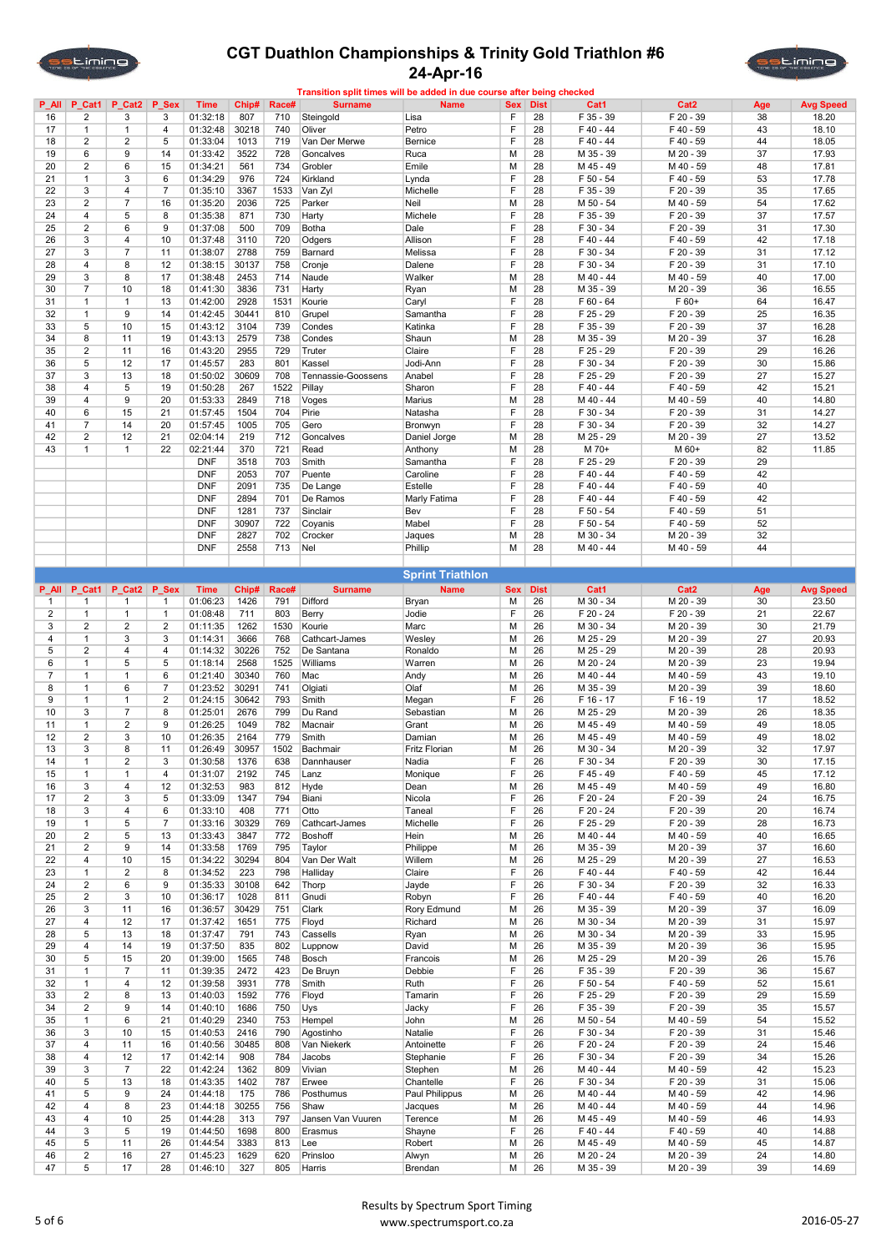



| $P$ All        |                              | P Cat1   P Cat2 | P Sex          | <b>Time</b>          | Chip#       | Race#      | <b>Surname</b>     | <b>Name</b>             | <b>Sex</b> | <b>Dist</b> | Cat1                   | Cat <sub>2</sub>       | Age      | <b>Avg Speed</b> |
|----------------|------------------------------|-----------------|----------------|----------------------|-------------|------------|--------------------|-------------------------|------------|-------------|------------------------|------------------------|----------|------------------|
| 16             | 2                            | 3               | 3              | 01:32:18             | 807         | 710        | Steingold          | Lisa                    | F          | 28          | F 35 - 39              | F 20 - 39              | 38       | 18.20            |
| 17             | $\mathbf{1}$                 | $\mathbf{1}$    | $\overline{4}$ | 01:32:48             | 30218       | 740        | Oliver             | Petro                   | F          | 28          | F40-44                 | F 40 - 59              | 43       | 18.10            |
| 18             | 2                            | 2               | $\,$ 5 $\,$    | 01:33:04             | 1013        | 719        | Van Der Merwe      | Bernice                 | F          | 28          | F40-44                 | F 40 - 59              | 44       | 18.05            |
| 19             | 6                            | $9\,$           | 14             | 01:33:42             | 3522        | 728        | Goncalves          | Ruca                    | М          | 28          | M 35 - 39              | M 20 - 39              | 37       | 17.93            |
| 20             | 2                            | 6               | 15             | 01:34:21             | 561         | 734        | Grobler            | Emile                   | M          | 28          | M 45 - 49              | M 40 - 59              | 48       | 17.81            |
| 21             | $\mathbf{1}$                 | 3               | 6              | 01:34:29             | 976         | 724        | Kirkland           | Lynda                   | F          | 28          | $F 50 - 54$            | F 40 - 59              | 53       | 17.78            |
| 22             | 3                            | $\overline{4}$  | $\overline{7}$ | 01:35:10             | 3367        | 1533       | Van Zyl            | Michelle                | F          | 28          | F 35 - 39              | F 20 - 39              | 35       | 17.65            |
| 23             | $\overline{c}$               | $\overline{7}$  | 16             | 01:35:20             | 2036        | 725        | Parker             | Neil                    | M          | 28          | M 50 - 54              | M 40 - 59              | 54       | 17.62            |
| 24             | 4                            | 5               | 8              | 01:35:38             |             | 730        |                    |                         | F          | 28          | F 35 - 39              | F 20 - 39              | 37       | 17.57            |
|                |                              |                 |                |                      | 871         |            | Harty              | Michele                 | F          |             |                        |                        |          |                  |
| 25             | $\overline{c}$               | 6               | 9              | 01:37:08             | 500         | 709        | Botha              | Dale                    |            | 28          | F 30 - 34              | F 20 - 39              | 31       | 17.30            |
| 26             | 3                            | $\overline{4}$  | 10             | 01:37:48             | 3110        | 720        | Odgers             | Allison                 | F          | 28          | F40-44                 | F 40 - 59              | 42       | 17.18            |
| 27             | 3                            | $\overline{7}$  | 11             | 01:38:07             | 2788        | 759        | Barnard            | Melissa                 | F          | 28          | F 30 - 34              | F 20 - 39              | 31       | 17.12            |
| 28             | 4                            | 8               | 12             | 01:38:15             | 30137       | 758        | Cronje             | Dalene                  | F          | 28          | F 30 - 34              | F 20 - 39              | 31       | 17.10            |
| 29             | 3                            | 8               | 17             | 01:38:48             | 2453        | 714        | Naude              | Walker                  | M          | 28          | M 40 - 44              | M 40 - 59              | 40       | 17.00            |
| 30             | $\overline{7}$               | 10              | 18             | 01:41:30             | 3836        | 731        | Harty              | Ryan                    | M          | 28          | M 35 - 39              | M 20 - 39              | 36       | 16.55            |
| 31             | $\mathbf{1}$                 | $\mathbf{1}$    | 13             | 01:42:00             | 2928        | 1531       | Kourie             | Caryl                   | F          | 28          | $F 60 - 64$            | F 60+                  | 64       | 16.47            |
| 32             | $\mathbf{1}$                 | 9               | 14             | 01:42:45             | 30441       | 810        | Grupel             | Samantha                | F          | 28          | F 25 - 29              | F 20 - 39              | 25       | 16.35            |
| 33             | 5                            | 10              | 15             | 01:43:12             | 3104        | 739        | Condes             | Katinka                 | F          | 28          | F 35 - 39              | F 20 - 39              | 37       | 16.28            |
| 34             | 8                            | 11              | 19             | 01:43:13             | 2579        | 738        | Condes             | Shaun                   | M          | 28          | M 35 - 39              | M 20 - 39              | 37       | 16.28            |
| 35             | $\overline{c}$               | 11              | 16             | 01:43:20             | 2955        | 729        | Truter             | Claire                  | F          | 28          | F 25 - 29              | F 20 - 39              | 29       | 16.26            |
| 36             | 5                            | 12              | 17             | 01:45:57             | 283         | 801        | Kassel             | Jodi-Ann                | F          | 28          | F 30 - 34              | F 20 - 39              | 30       | 15.86            |
| 37             | 3                            | 13              | 18             | 01:50:02             | 30609       | 708        | Tennassie-Goossens | Anabel                  | F          | 28          | F 25 - 29              | F 20 - 39              | 27       | 15.27            |
|                |                              |                 |                |                      |             |            |                    |                         | F          |             |                        |                        |          |                  |
| 38             | 4                            | 5               | 19             | 01:50:28             | 267         | 1522       | Pillay             | Sharon                  |            | 28          | F40-44                 | F 40 - 59              | 42       | 15.21            |
| 39             | 4                            | $9\,$           | 20             | 01:53:33             | 2849        | 718        | Voges              | Marius                  | M          | 28          | M 40 - 44              | M 40 - 59              | 40       | 14.80            |
| 40             | 6                            | 15              | 21             | 01:57:45             | 1504        | 704        | Pirie              | Natasha                 | F          | 28          | F 30 - 34              | F 20 - 39              | 31       | 14.27            |
| 41             | 7                            | 14              | 20             | 01:57:45             | 1005        | 705        | Gero               | Bronwyn                 | F          | 28          | F 30 - 34              | F 20 - 39              | 32       | 14.27            |
| 42             | $\overline{c}$               | 12              | 21             | 02:04:14             | 219         | 712        | Goncalves          | Daniel Jorge            | M          | 28          | M 25 - 29              | M 20 - 39              | 27       | 13.52            |
| 43             | 1                            | $\mathbf{1}$    | 22             | 02:21:44             | 370         | 721        | Read               | Anthony                 | M          | 28          | M 70+                  | M 60+                  | 82       | 11.85            |
|                |                              |                 |                | <b>DNF</b>           | 3518        | 703        | Smith              | Samantha                | F          | 28          | F 25 - 29              | F 20 - 39              | 29       |                  |
|                |                              |                 |                | <b>DNF</b>           | 2053        | 707        | Puente             | Caroline                | F          | 28          | $F 40 - 44$            | F 40 - 59              | 42       |                  |
|                |                              |                 |                | <b>DNF</b>           | 2091        | 735        | De Lange           | Estelle                 | F          | 28          | $F$ 40 - 44            | F 40 - 59              | 40       |                  |
|                |                              |                 |                | <b>DNF</b>           | 2894        | 701        | De Ramos           | Marly Fatima            | F          | 28          | $F 40 - 44$            | F 40 - 59              | 42       |                  |
|                |                              |                 |                | <b>DNF</b>           | 1281        | 737        | Sinclair           | Bev                     | F          | 28          | F 50 - 54              | F 40 - 59              | 51       |                  |
|                |                              |                 |                | <b>DNF</b>           | 30907       | 722        |                    | Mabel                   | F          | 28          | F 50 - 54              | F 40 - 59              | 52       |                  |
|                |                              |                 |                |                      |             |            | Coyanis            |                         |            |             |                        |                        |          |                  |
|                |                              |                 |                | <b>DNF</b>           | 2827        | 702        | Crocker            | Jaques                  | M          | 28          | M 30 - 34              | M 20 - 39              | 32       |                  |
|                |                              |                 |                | <b>DNF</b>           | 2558        | 713        | Nel                | Phillip                 | М          | 28          | M 40 - 44              | M 40 - 59              | 44       |                  |
|                |                              |                 |                |                      |             |            |                    |                         |            |             |                        |                        |          |                  |
|                |                              |                 |                |                      |             |            |                    | <b>Sprint Triathlon</b> |            |             |                        |                        |          |                  |
| <b>P_All</b>   | P Cat1                       | P Cat2          | P Sex          | <b>Time</b>          | Chip#       | Race#      | <b>Surname</b>     | <b>Name</b>             | <b>Sex</b> | <b>Dist</b> | Cat1                   | Cat <sub>2</sub>       | Age      | <b>Avg Speed</b> |
| $\mathbf{1}$   | $\mathbf{1}$                 | $\mathbf{1}$    | $\mathbf{1}$   | 01:06:23             | 1426        | 791        | Difford            | Bryan                   | м          | 26          | M 30 - 34              | M 20 - 39              | 30       | 23.50            |
| 2              | $\mathbf{1}$                 | $\mathbf{1}$    | $\mathbf{1}$   | 01:08:48             | 711         | 803        | Berry              | Jodie                   | F          | 26          | F 20 - 24              | F 20 - 39              | 21       | 22.67            |
| 3              | $\overline{c}$               | $\overline{2}$  | $\overline{2}$ | 01:11:35             | 1262        | 1530       | Kourie             | Marc                    | M          | 26          | M 30 - 34              | M 20 - 39              | 30       | 21.79            |
| 4              | $\mathbf{1}$                 | 3               | 3              | 01:14:31             | 3666        | 768        | Cathcart-James     | Wesley                  | М          | 26          | M 25 - 29              | M 20 - 39              | 27       | 20.93            |
| 5              | $\overline{c}$               | $\overline{4}$  | $\overline{4}$ | 01:14:32             | 30226       | 752        | De Santana         | Ronaldo                 | M          | 26          | M 25 - 29              | M 20 - 39              | 28       | 20.93            |
| 6              | $\mathbf{1}$                 | 5               | 5              | 01:18:14             | 2568        | 1525       | Williams           | Warren                  | М          | 26          | M 20 - 24              | M 20 - 39              | 23       | 19.94            |
| $\overline{7}$ | $\mathbf{1}$                 |                 |                | 01:21:40             |             | 760        | Mac                | Andy                    | M          | 26          | M 40 - 44              | M 40 - 59              | 43       | 19.10            |
|                |                              |                 |                |                      |             |            |                    |                         |            |             |                        |                        |          |                  |
|                |                              | $\mathbf{1}$    | 6              |                      | 30340       |            |                    |                         |            |             |                        |                        |          |                  |
| 8              | $\mathbf{1}$                 | 6               | $\overline{7}$ | 01:23:52             | 30291       | 741        | Olgiati            | Olaf                    | M          | 26          | M 35 - 39              | M 20 - 39              | 39       | 18.60            |
| 9              | $\mathbf{1}$                 | $\mathbf{1}$    | $\overline{2}$ | 01:24:15             | 30642       | 793        | Smith              | Megan                   | F          | 26          | F 16 - 17              | F 16 - 19              | 17       | 18.52            |
| 10             | 3                            | $\overline{7}$  | 8              | 01:25:01             | 2676        | 799        | Du Rand            | Sebastian               | M          | 26          | M 25 - 29              | M 20 - 39              | 26       | 18.35            |
| 11             | $\mathbf{1}$                 | $\overline{2}$  | 9              | 01:26:25             | 1049        | 782        | Macnair            | Grant                   | M          | 26          | M 45 - 49              | M 40 - 59              | 49       | 18.05            |
| 12             | $\overline{c}$               | 3               | 10             | 01:26:35             | 2164        | 779        | Smith              | Damian                  | М          | 26          | M 45 - 49              | M 40 - 59              | 49       | 18.02            |
| 13             | 3                            | 8               | 11             | 01:26:49             | 30957       | 1502       | Bachmair           | <b>Fritz Florian</b>    | М          | 26          | M 30 - 34              | M 20 - 39              | 32       | 17.97            |
| 14             | $\mathbf{1}$                 | $\overline{2}$  | 3              | 01:30:58             | 1376        | 638        | Dannhauser         | Nadia                   | F          | 26          | F 30 - 34              | F 20 - 39              | 30       | 17.15            |
| 15             | $\mathbf{1}$                 | $\mathbf{1}$    | $\overline{4}$ | 01:31:07             | 2192        | 745        | Lanz               | Monique                 | F          | 26          | F 45 - 49              | F 40 - 59              | 45       | 17.12            |
| 16             | 3                            | 4               | 12             | 01:32:53             | 983         | 812        | Hyde               | Dean                    | М          | 26          | M 45 - 49              | M 40 - 59              | 49       | 16.80            |
| 17             | $\overline{\mathbf{c}}$      | 3               | 5              | 01:33:09             | 1347        | 794        | Biani              | Nicola                  | F          | 26          | F 20 - 24              | F 20 - 39              | 24       | 16.75            |
| 18             | 3                            | 4               | 6              | 01:33:10             | 408         | 771        | Otto               | Taneal                  | F          | 26          | F 20 - 24              | F 20 - 39              | 20       | 16.74            |
| 19             | 1                            | 5               | $\overline{7}$ | 01:33:16             | 30329       | 769        | Cathcart-James     | Michelle                | F          | 26          | F 25 - 29              | F 20 - 39              | 28       | 16.73            |
| 20             | 2                            | 5               | 13             | 01:33:43             | 3847        | 772        | Boshoff            | Hein                    | М          | 26          | M 40 - 44              | M 40 - 59              | 40       | 16.65            |
|                |                              |                 |                |                      |             |            |                    |                         |            |             |                        |                        |          |                  |
| 21             | $\overline{\mathbf{c}}$<br>4 | 9               | 14             | 01:33:58             | 1769        | 795        | Taylor             | Philippe                | М          | 26          | M 35 - 39              | M 20 - 39              | 37       | 16.60            |
| 22             |                              | 10              | 15             | 01:34:22             | 30294       | 804        | Van Der Walt       | Willem                  | М          | 26          | M 25 - 29              | M 20 - 39              | 27       | 16.53            |
| 23             | $\mathbf{1}$                 | $\overline{2}$  | 8              | 01:34:52             | 223         | 798        | Halliday           | Claire                  | F          | 26          | F 40 - 44              | F 40 - 59              | 42       | 16.44            |
| 24             | 2                            | 6               | 9              | 01:35:33             | 30108       | 642        | Thorp              | Jayde                   | F          | 26          | F 30 - 34              | F 20 - 39              | 32       | 16.33            |
| 25             | $\overline{c}$               | 3               | 10             | 01:36:17             | 1028        | 811        | Gnudi              | Robyn                   | F          | 26          | $F$ 40 - 44            | F 40 - 59              | 40       | 16.20            |
| 26             | 3                            | 11              | 16             | 01:36:57             | 30429       | 751        | Clark              | Rory Edmund             | M          | 26          | M 35 - 39              | M 20 - 39              | 37       | 16.09            |
| 27             | 4                            | 12              | 17             | 01:37:42             | 1651        | 775        | Floyd              | Richard                 | М          | 26          | M 30 - 34              | M 20 - 39              | 31       | 15.97            |
| 28             | 5                            | 13              | 18             | 01:37:47             | 791         | 743        | Cassells           | Ryan                    | M          | 26          | M 30 - 34              | M 20 - 39              | 33       | 15.95            |
| 29             | 4                            | 14              | 19             | 01:37:50             | 835         | 802        | Luppnow            | David                   | М          | 26          | M 35 - 39              | M 20 - 39              | 36       | 15.95            |
| 30             | 5                            | 15              | 20             | 01:39:00             | 1565        | 748        | Bosch              | Francois                | М          | 26          | M 25 - 29              | M 20 - 39              | 26       | 15.76            |
| 31             | 1                            | $\overline{7}$  | 11             | 01:39:35             | 2472        | 423        | De Bruyn           | Debbie                  | F          | 26          | F 35 - 39              | F 20 - 39              | 36       | 15.67            |
| 32             | 1                            | 4               | 12             | 01:39:58             | 3931        | 778        | Smith              | Ruth                    | F          | 26          | F 50 - 54              | F 40 - 59              | 52       | 15.61            |
| 33             | 2                            | 8               | 13             | 01:40:03             | 1592        | 776        | Floyd              | Tamarin                 | F          | 26          | F 25 - 29              | F 20 - 39              | 29       | 15.59            |
| 34             | $\overline{\mathbf{c}}$      | 9               | 14             | 01:40:10             | 1686        | 750        | Uys                | Jacky                   | F          | 26          | F 35 - 39              | F 20 - 39              | 35       | 15.57            |
| 35             | 1                            | 6               | 21             | 01:40:29             | 2340        | 753        | Hempel             | John                    | М          | 26          | M 50 - 54              | M 40 - 59              | 54       | 15.52            |
| 36             | 3                            | 10              | 15             | 01:40:53             | 2416        | 790        | Agostinho          | Natalie                 | F          | 26          | F 30 - 34              | F 20 - 39              | 31       | 15.46            |
|                | 4                            |                 |                |                      |             |            |                    |                         | F          |             |                        |                        |          |                  |
| 37             |                              | 11              | 16             | 01:40:56             | 30485       | 808        | Van Niekerk        | Antoinette              |            | 26          | F 20 - 24              | F 20 - 39              | 24       | 15.46            |
| 38             | 4                            | 12              | 17             | 01:42:14             | 908         | 784        | Jacobs             | Stephanie               | F          | 26          | F 30 - 34              | F 20 - 39              | 34       | 15.26            |
| 39             | 3                            | $\overline{7}$  | 22             | 01:42:24             | 1362        | 809        | Vivian             | Stephen                 | M          | 26          | M 40 - 44              | M 40 - 59              | 42       | 15.23            |
| 40             | 5                            | 13              | 18             | 01:43:35             | 1402        | 787        | Erwee              | Chantelle               | F          | 26          | F 30 - 34              | F 20 - 39              | 31       | 15.06            |
| 41             | 5                            | 9               | 24             | 01:44:18             | 175         | 786        | Posthumus          | Paul Philippus          | M          | 26          | M 40 - 44              | M 40 - 59              | 42       | 14.96            |
| 42             | 4                            | 8               | 23             | 01:44:18             | 30255       | 756        | Shaw               | Jacques                 | М          | 26          | M 40 - 44              | M 40 - 59              | 44       | 14.96            |
| 43             | 4                            | 10              | 25             | 01:44:28             | 313         | 797        | Jansen Van Vuuren  | Terence                 | М          | 26          | M 45 - 49              | M 40 - 59              | 46       | 14.93            |
| 44             | 3                            | $\,$ 5 $\,$     | 19             | 01:44:50             | 1698        | 800        | Erasmus            | Shayne                  | F          | 26          | F 40 - 44              | F 40 - 59              | 40       | 14.88            |
| 45             | 5                            | 11              | 26             | 01:44:54             | 3383        | 813        | Lee                | Robert                  | М          | 26          | M 45 - 49              | M 40 - 59              | 45       | 14.87            |
| 46<br>47       | $\overline{\mathbf{c}}$<br>5 | 16<br>17        | 27<br>28       | 01:45:23<br>01:46:10 | 1629<br>327 | 620<br>805 | Prinsloo<br>Harris | Alwyn<br>Brendan        | м<br>М     | 26<br>26    | M 20 - 24<br>M 35 - 39 | M 20 - 39<br>M 20 - 39 | 24<br>39 | 14.80<br>14.69   |